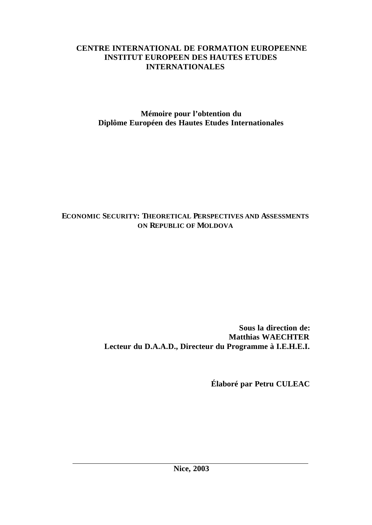# **CENTRE INTERNATIONAL DE FORMATION EUROPEENNE INSTITUT EUROPEEN DES HAUTES ETUDES INTERNATIONALES**

**Mémoire pour l'obtention du Diplôme Européen des Hautes Etudes Internationales**

# **ECONOMIC SECURITY: THEORETICAL PERSPECTIVES AND ASSESSMENTS ON REPUBLIC OF MOLDOVA**

**Sous la direction de: Matthias WAECHTER Lecteur du D.A.A.D., Directeur du Programme à I.E.H.E.I.**

**Élaboré par Petru CULEAC**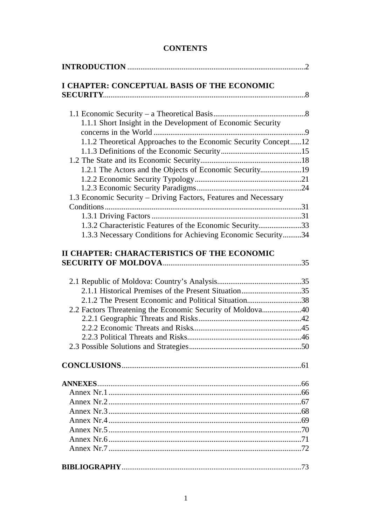# **CONTENTS**

| I CHAPTER: CONCEPTUAL BASIS OF THE ECONOMIC                     |  |
|-----------------------------------------------------------------|--|
|                                                                 |  |
|                                                                 |  |
| 1.1.1 Short Insight in the Development of Economic Security     |  |
|                                                                 |  |
| 1.1.2 Theoretical Approaches to the Economic Security Concept12 |  |
|                                                                 |  |
|                                                                 |  |
| 1.2.1 The Actors and the Objects of Economic Security19         |  |
|                                                                 |  |
| 1.3 Economic Security – Driving Factors, Features and Necessary |  |
|                                                                 |  |
|                                                                 |  |
| 1.3.2 Characteristic Features of the Economic Security33        |  |
| 1.3.3 Necessary Conditions for Achieving Economic Security34    |  |
|                                                                 |  |
| II CHAPTER: CHARACTERISTICS OF THE ECONOMIC                     |  |
|                                                                 |  |
|                                                                 |  |
|                                                                 |  |
|                                                                 |  |
| 2.1.2 The Present Economic and Political Situation38            |  |
| 2.2 Factors Threatening the Economic Security of Moldova40      |  |
|                                                                 |  |
|                                                                 |  |
|                                                                 |  |
|                                                                 |  |
|                                                                 |  |
|                                                                 |  |
|                                                                 |  |
|                                                                 |  |
|                                                                 |  |
|                                                                 |  |
|                                                                 |  |
|                                                                 |  |
|                                                                 |  |
|                                                                 |  |
|                                                                 |  |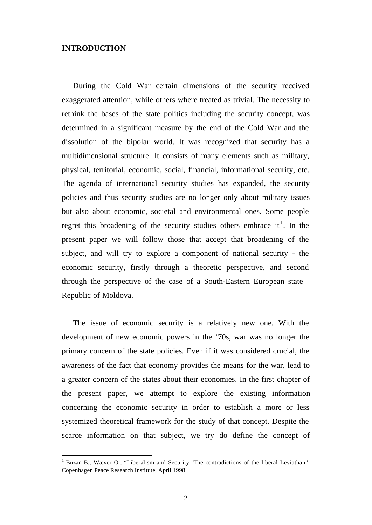## **INTRODUCTION**

l

During the Cold War certain dimensions of the security received exaggerated attention, while others where treated as trivial. The necessity to rethink the bases of the state politics including the security concept, was determined in a significant measure by the end of the Cold War and the dissolution of the bipolar world. It was recognized that security has a multidimensional structure. It consists of many elements such as military, physical, territorial, economic, social, financial, informational security, etc. The agenda of international security studies has expanded, the security policies and thus security studies are no longer only about military issues but also about economic, societal and environmental ones. Some people regret this broadening of the security studies others embrace it<sup>1</sup>. In the present paper we will follow those that accept that broadening of the subject, and will try to explore a component of national security - the economic security, firstly through a theoretic perspective, and second through the perspective of the case of a South-Eastern European state – Republic of Moldova.

The issue of economic security is a relatively new one. With the development of new economic powers in the '70s, war was no longer the primary concern of the state policies. Even if it was considered crucial, the awareness of the fact that economy provides the means for the war, lead to a greater concern of the states about their economies. In the first chapter of the present paper, we attempt to explore the existing information concerning the economic security in order to establish a more or less systemized theoretical framework for the study of that concept. Despite the scarce information on that subject, we try do define the concept of

Buzan B., Wæver O., "Liberalism and Security: The contradictions of the liberal Leviathan", Copenhagen Peace Research Institute, April 1998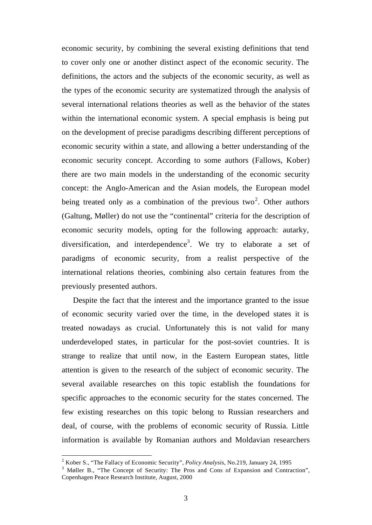economic security, by combining the several existing definitions that tend to cover only one or another distinct aspect of the economic security. The definitions, the actors and the subjects of the economic security, as well as the types of the economic security are systematized through the analysis of several international relations theories as well as the behavior of the states within the international economic system. A special emphasis is being put on the development of precise paradigms describing different perceptions of economic security within a state, and allowing a better understanding of the economic security concept. According to some authors (Fallows, Kober) there are two main models in the understanding of the economic security concept: the Anglo-American and the Asian models, the European model being treated only as a combination of the previous two<sup>2</sup>. Other authors (Galtung, Møller) do not use the "continental" criteria for the description of economic security models, opting for the following approach: autarky, diversification, and interdependence<sup>3</sup>. We try to elaborate a set of paradigms of economic security, from a realist perspective of the international relations theories, combining also certain features from the previously presented authors.

Despite the fact that the interest and the importance granted to the issue of economic security varied over the time, in the developed states it is treated nowadays as crucial. Unfortunately this is not valid for many underdeveloped states, in particular for the post-soviet countries. It is strange to realize that until now, in the Eastern European states, little attention is given to the research of the subject of economic security. The several available researches on this topic establish the foundations for specific approaches to the economic security for the states concerned. The few existing researches on this topic belong to Russian researchers and deal, of course, with the problems of economic security of Russia. Little information is available by Romanian authors and Moldavian researchers

<sup>2</sup> Kober S., "The Fallacy of Economic Security", *Policy Analysis*, No.219, January 24, 1995

<sup>&</sup>lt;sup>3</sup> Møller B., "The Concept of Security: The Pros and Cons of Expansion and Contraction", Copenhagen Peace Research Institute, August, 2000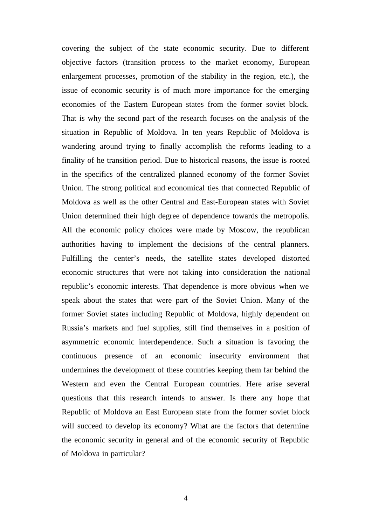covering the subject of the state economic security. Due to different objective factors (transition process to the market economy, European enlargement processes, promotion of the stability in the region, etc.), the issue of economic security is of much more importance for the emerging economies of the Eastern European states from the former soviet block. That is why the second part of the research focuses on the analysis of the situation in Republic of Moldova. In ten years Republic of Moldova is wandering around trying to finally accomplish the reforms leading to a finality of he transition period. Due to historical reasons, the issue is rooted in the specifics of the centralized planned economy of the former Soviet Union. The strong political and economical ties that connected Republic of Moldova as well as the other Central and East-European states with Soviet Union determined their high degree of dependence towards the metropolis. All the economic policy choices were made by Moscow, the republican authorities having to implement the decisions of the central planners. Fulfilling the center's needs, the satellite states developed distorted economic structures that were not taking into consideration the national republic's economic interests. That dependence is more obvious when we speak about the states that were part of the Soviet Union. Many of the former Soviet states including Republic of Moldova, highly dependent on Russia's markets and fuel supplies, still find themselves in a position of asymmetric economic interdependence. Such a situation is favoring the continuous presence of an economic insecurity environment that undermines the development of these countries keeping them far behind the Western and even the Central European countries. Here arise several questions that this research intends to answer. Is there any hope that Republic of Moldova an East European state from the former soviet block will succeed to develop its economy? What are the factors that determine the economic security in general and of the economic security of Republic of Moldova in particular?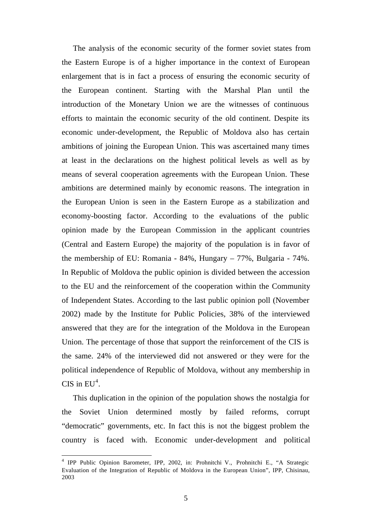The analysis of the economic security of the former soviet states from the Eastern Europe is of a higher importance in the context of European enlargement that is in fact a process of ensuring the economic security of the European continent. Starting with the Marshal Plan until the introduction of the Monetary Union we are the witnesses of continuous efforts to maintain the economic security of the old continent. Despite its economic under-development, the Republic of Moldova also has certain ambitions of joining the European Union. This was ascertained many times at least in the declarations on the highest political levels as well as by means of several cooperation agreements with the European Union. These ambitions are determined mainly by economic reasons. The integration in the European Union is seen in the Eastern Europe as a stabilization and economy-boosting factor. According to the evaluations of the public opinion made by the European Commission in the applicant countries (Central and Eastern Europe) the majority of the population is in favor of the membership of EU: Romania - 84%, Hungary – 77%, Bulgaria - 74%. In Republic of Moldova the public opinion is divided between the accession to the EU and the reinforcement of the cooperation within the Community of Independent States. According to the last public opinion poll (November 2002) made by the Institute for Public Policies, 38% of the interviewed answered that they are for the integration of the Moldova in the European Union. The percentage of those that support the reinforcement of the CIS is the same. 24% of the interviewed did not answered or they were for the political independence of Republic of Moldova, without any membership in CIS in  $EU^4$ .

This duplication in the opinion of the population shows the nostalgia for the Soviet Union determined mostly by failed reforms, corrupt "democratic" governments, etc. In fact this is not the biggest problem the country is faced with. Economic under-development and political

 4 IPP Public Opinion Barometer, IPP, 2002, in: Prohnitchi V., Prohnitchi E., "A Strategic Evaluation of the Integration of Republic of Moldova in the European Union", IPP, Chisinau, 2003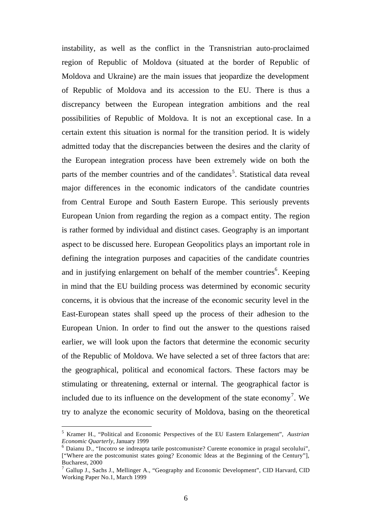instability, as well as the conflict in the Transnistrian auto-proclaimed region of Republic of Moldova (situated at the border of Republic of Moldova and Ukraine) are the main issues that jeopardize the development of Republic of Moldova and its accession to the EU. There is thus a discrepancy between the European integration ambitions and the real possibilities of Republic of Moldova. It is not an exceptional case. In a certain extent this situation is normal for the transition period. It is widely admitted today that the discrepancies between the desires and the clarity of the European integration process have been extremely wide on both the parts of the member countries and of the candidates<sup>5</sup>. Statistical data reveal major differences in the economic indicators of the candidate countries from Central Europe and South Eastern Europe. This seriously prevents European Union from regarding the region as a compact entity. The region is rather formed by individual and distinct cases. Geography is an important aspect to be discussed here. European Geopolitics plays an important role in defining the integration purposes and capacities of the candidate countries and in justifying enlargement on behalf of the member countries<sup>6</sup>. Keeping in mind that the EU building process was determined by economic security concerns, it is obvious that the increase of the economic security level in the East-European states shall speed up the process of their adhesion to the European Union. In order to find out the answer to the questions raised earlier, we will look upon the factors that determine the economic security of the Republic of Moldova. We have selected a set of three factors that are: the geographical, political and economical factors. These factors may be stimulating or threatening, external or internal. The geographical factor is included due to its influence on the development of the state economy<sup>7</sup>. We try to analyze the economic security of Moldova, basing on the theoretical

<sup>5</sup> Kramer H., "Political and Economic Perspectives of the EU Eastern Enlargement", *Austrian Economic Quarterly*, January 1999

<sup>&</sup>lt;sup>6</sup> Daianu D., "Incotro se indreapta tarile postcomuniste? Curente economice in pragul secolului", ["Where are the postcomunist states going? Economic Ideas at the Beginning of the Century"], Bucharest, 2000

<sup>7</sup> Gallup J., Sachs J., Mellinger A., "Geography and Economic Development", CID Harvard, CID Working Paper No.1, March 1999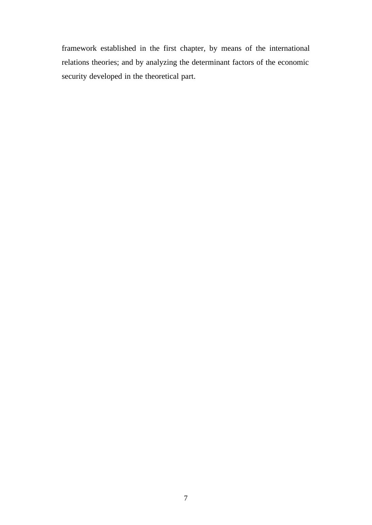framework established in the first chapter, by means of the international relations theories; and by analyzing the determinant factors of the economic security developed in the theoretical part.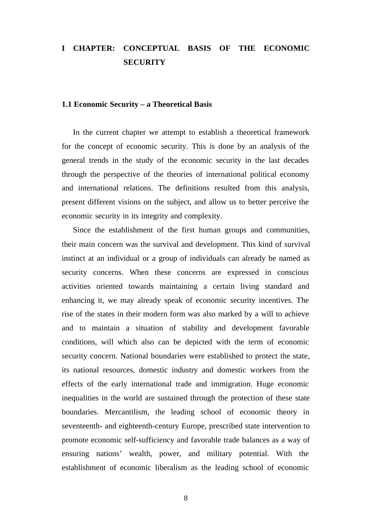# **I CHAPTER: CONCEPTUAL BASIS OF THE ECONOMIC SECURITY**

## **1.1 Economic Security – a Theoretical Basis**

In the current chapter we attempt to establish a theoretical framework for the concept of economic security. This is done by an analysis of the general trends in the study of the economic security in the last decades through the perspective of the theories of international political economy and international relations. The definitions resulted from this analysis, present different visions on the subject, and allow us to better perceive the economic security in its integrity and complexity.

Since the establishment of the first human groups and communities, their main concern was the survival and development. This kind of survival instinct at an individual or a group of individuals can already be named as security concerns. When these concerns are expressed in conscious activities oriented towards maintaining a certain living standard and enhancing it, we may already speak of economic security incentives. The rise of the states in their modern form was also marked by a will to achieve and to maintain a situation of stability and development favorable conditions, will which also can be depicted with the term of economic security concern. National boundaries were established to protect the state, its national resources, domestic industry and domestic workers from the effects of the early international trade and immigration. Huge economic inequalities in the world are sustained through the protection of these state boundaries. Mercantilism, the leading school of economic theory in seventeenth- and eighteenth-century Europe, prescribed state intervention to promote economic self-sufficiency and favorable trade balances as a way of ensuring nations' wealth, power, and military potential. With the establishment of economic liberalism as the leading school of economic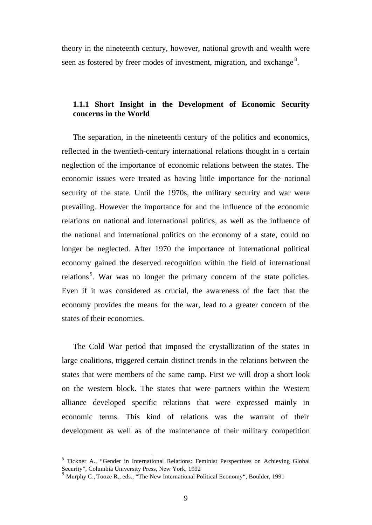theory in the nineteenth century, however, national growth and wealth were seen as fostered by freer modes of investment, migration, and exchange<sup>8</sup>.

# **1.1.1 Short Insight in the Development of Economic Security concerns in the World**

The separation, in the nineteenth century of the politics and economics, reflected in the twentieth-century international relations thought in a certain neglection of the importance of economic relations between the states. The economic issues were treated as having little importance for the national security of the state. Until the 1970s, the military security and war were prevailing. However the importance for and the influence of the economic relations on national and international politics, as well as the influence of the national and international politics on the economy of a state, could no longer be neglected. After 1970 the importance of international political economy gained the deserved recognition within the field of international relations<sup>9</sup>. War was no longer the primary concern of the state policies. Even if it was considered as crucial, the awareness of the fact that the economy provides the means for the war, lead to a greater concern of the states of their economies.

The Cold War period that imposed the crystallization of the states in large coalitions, triggered certain distinct trends in the relations between the states that were members of the same camp. First we will drop a short look on the western block. The states that were partners within the Western alliance developed specific relations that were expressed mainly in economic terms. This kind of relations was the warrant of their development as well as of the maintenance of their military competition

<sup>&</sup>lt;sup>8</sup> Tickner A., "Gender in International Relations: Feminist Perspectives on Achieving Global Security", Columbia University Press, New York, 1992

<sup>9</sup> Murphy C., Tooze R., eds., "The New International Political Economy", Boulder, 1991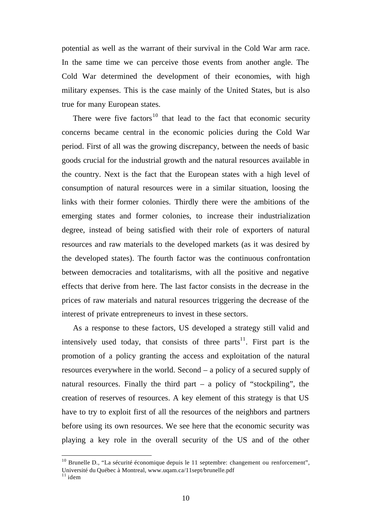potential as well as the warrant of their survival in the Cold War arm race. In the same time we can perceive those events from another angle. The Cold War determined the development of their economies, with high military expenses. This is the case mainly of the United States, but is also true for many European states.

There were five factors<sup>10</sup> that lead to the fact that economic security concerns became central in the economic policies during the Cold War period. First of all was the growing discrepancy, between the needs of basic goods crucial for the industrial growth and the natural resources available in the country. Next is the fact that the European states with a high level of consumption of natural resources were in a similar situation, loosing the links with their former colonies. Thirdly there were the ambitions of the emerging states and former colonies, to increase their industrialization degree, instead of being satisfied with their role of exporters of natural resources and raw materials to the developed markets (as it was desired by the developed states). The fourth factor was the continuous confrontation between democracies and totalitarisms, with all the positive and negative effects that derive from here. The last factor consists in the decrease in the prices of raw materials and natural resources triggering the decrease of the interest of private entrepreneurs to invest in these sectors.

As a response to these factors, US developed a strategy still valid and intensively used today, that consists of three parts<sup>11</sup>. First part is the promotion of a policy granting the access and exploitation of the natural resources everywhere in the world. Second – a policy of a secured supply of natural resources. Finally the third part  $-$  a policy of "stockpiling", the creation of reserves of resources. A key element of this strategy is that US have to try to exploit first of all the resources of the neighbors and partners before using its own resources. We see here that the economic security was playing a key role in the overall security of the US and of the other

 $10$  Brunelle D., "La sécurité économique depuis le 11 septembre: changement ou renforcement", Université du Québec à Montreal, www.uqam.ca/11sept/brunelle.pdf

 $11$  idem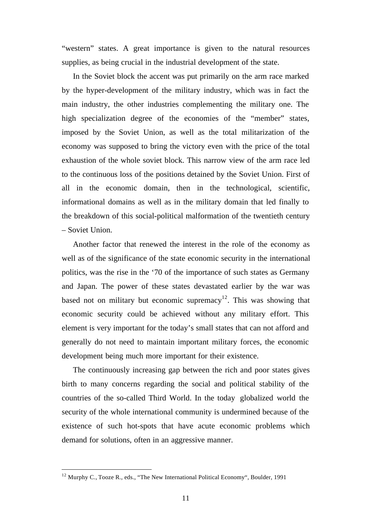"western" states. A great importance is given to the natural resources supplies, as being crucial in the industrial development of the state.

In the Soviet block the accent was put primarily on the arm race marked by the hyper-development of the military industry, which was in fact the main industry, the other industries complementing the military one. The high specialization degree of the economies of the "member" states, imposed by the Soviet Union, as well as the total militarization of the economy was supposed to bring the victory even with the price of the total exhaustion of the whole soviet block. This narrow view of the arm race led to the continuous loss of the positions detained by the Soviet Union. First of all in the economic domain, then in the technological, scientific, informational domains as well as in the military domain that led finally to the breakdown of this social-political malformation of the twentieth century – Soviet Union.

Another factor that renewed the interest in the role of the economy as well as of the significance of the state economic security in the international politics, was the rise in the '70 of the importance of such states as Germany and Japan. The power of these states devastated earlier by the war was based not on military but economic supremacy<sup>12</sup>. This was showing that economic security could be achieved without any military effort. This element is very important for the today's small states that can not afford and generally do not need to maintain important military forces, the economic development being much more important for their existence.

The continuously increasing gap between the rich and poor states gives birth to many concerns regarding the social and political stability of the countries of the so-called Third World. In the today globalized world the security of the whole international community is undermined because of the existence of such hot-spots that have acute economic problems which demand for solutions, often in an aggressive manner.

<sup>&</sup>lt;sup>12</sup> Murphy C., Tooze R., eds., "The New International Political Economy", Boulder, 1991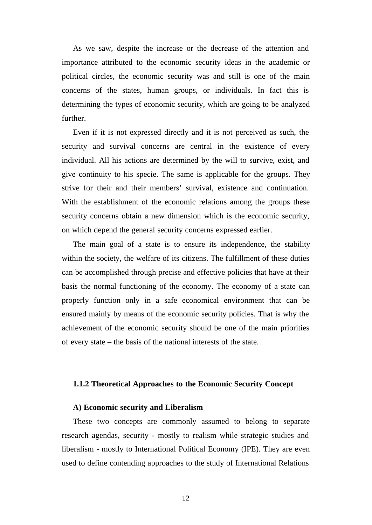As we saw, despite the increase or the decrease of the attention and importance attributed to the economic security ideas in the academic or political circles, the economic security was and still is one of the main concerns of the states, human groups, or individuals. In fact this is determining the types of economic security, which are going to be analyzed further.

Even if it is not expressed directly and it is not perceived as such, the security and survival concerns are central in the existence of every individual. All his actions are determined by the will to survive, exist, and give continuity to his specie. The same is applicable for the groups. They strive for their and their members' survival, existence and continuation. With the establishment of the economic relations among the groups these security concerns obtain a new dimension which is the economic security, on which depend the general security concerns expressed earlier.

The main goal of a state is to ensure its independence, the stability within the society, the welfare of its citizens. The fulfillment of these duties can be accomplished through precise and effective policies that have at their basis the normal functioning of the economy. The economy of a state can properly function only in a safe economical environment that can be ensured mainly by means of the economic security policies. That is why the achievement of the economic security should be one of the main priorities of every state – the basis of the national interests of the state.

#### **1.1.2 Theoretical Approaches to the Economic Security Concept**

## **A) Economic security and Liberalism**

These two concepts are commonly assumed to belong to separate research agendas, security - mostly to realism while strategic studies and liberalism - mostly to International Political Economy (IPE). They are even used to define contending approaches to the study of International Relations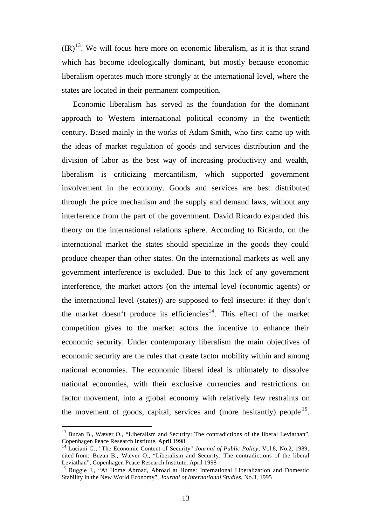$({\rm IR})^{13}$ . We will focus here more on economic liberalism, as it is that strand which has become ideologically dominant, but mostly because economic liberalism operates much more strongly at the international level, where the states are located in their permanent competition.

Economic liberalism has served as the foundation for the dominant approach to Western international political economy in the twentieth century. Based mainly in the works of Adam Smith, who first came up with the ideas of market regulation of goods and services distribution and the division of labor as the best way of increasing productivity and wealth, liberalism is criticizing mercantilism, which supported government involvement in the economy. Goods and services are best distributed through the price mechanism and the supply and demand laws, without any interference from the part of the government. David Ricardo expanded this theory on the international relations sphere. According to Ricardo, on the international market the states should specialize in the goods they could produce cheaper than other states. On the international markets as well any government interference is excluded. Due to this lack of any government interference, the market actors (on the internal level (economic agents) or the international level (states)) are supposed to feel insecure: if they don't the market doesn't produce its efficiencies<sup>14</sup>. This effect of the market competition gives to the market actors the incentive to enhance their economic security. Under contemporary liberalism the main objectives of economic security are the rules that create factor mobility within and among national economies. The economic liberal ideal is ultimately to dissolve national economies, with their exclusive currencies and restrictions on factor movement, into a global economy with relatively few restraints on the movement of goods, capital, services and (more hesitantly) people<sup>15</sup>.

<sup>&</sup>lt;sup>13</sup> Buzan B., Wæver O., "Liberalism and Security: The contradictions of the liberal Leviathan", Copenhagen Peace Research Institute, April 1998

<sup>14</sup> Luciani G., "The Economic Content of Security" *Journal of Public Policy*, Vol.8, No.2, 1989, cited from: Buzan B., Wæver O., "Liberalism and Security: The contradictions of the liberal Leviathan", Copenhagen Peace Research Institute, April 1998

<sup>&</sup>lt;sup>15</sup> Ruggie J., "At Home Abroad, Abroad at Home: International Liberalization and Domestic Stability in the New World Economy", *Journal of International Studies*, No.3, 1995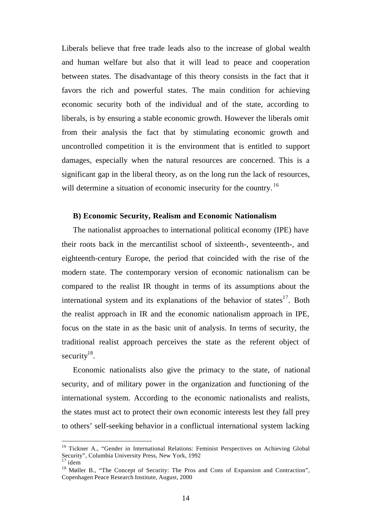Liberals believe that free trade leads also to the increase of global wealth and human welfare but also that it will lead to peace and cooperation between states. The disadvantage of this theory consists in the fact that it favors the rich and powerful states. The main condition for achieving economic security both of the individual and of the state, according to liberals, is by ensuring a stable economic growth. However the liberals omit from their analysis the fact that by stimulating economic growth and uncontrolled competition it is the environment that is entitled to support damages, especially when the natural resources are concerned. This is a significant gap in the liberal theory, as on the long run the lack of resources, will determine a situation of economic insecurity for the country.<sup>16</sup>

## **B) Economic Security, Realism and Economic Nationalism**

The nationalist approaches to international political economy (IPE) have their roots back in the mercantilist school of sixteenth-, seventeenth-, and eighteenth-century Europe, the period that coincided with the rise of the modern state. The contemporary version of economic nationalism can be compared to the realist IR thought in terms of its assumptions about the international system and its explanations of the behavior of states<sup>17</sup>. Both the realist approach in IR and the economic nationalism approach in IPE, focus on the state in as the basic unit of analysis. In terms of security, the traditional realist approach perceives the state as the referent object of security $18$ .

Economic nationalists also give the primacy to the state, of national security, and of military power in the organization and functioning of the international system. According to the economic nationalists and realists, the states must act to protect their own economic interests lest they fall prey to others' self-seeking behavior in a conflictual international system lacking

<sup>&</sup>lt;sup>16</sup> Tickner A., "Gender in International Relations: Feminist Perspectives on Achieving Global Security", Columbia University Press, New York, 1992

 $17$  idem

<sup>&</sup>lt;sup>18</sup> Møller B., "The Concept of Security: The Pros and Cons of Expansion and Contraction", Copenhagen Peace Research Institute, August, 2000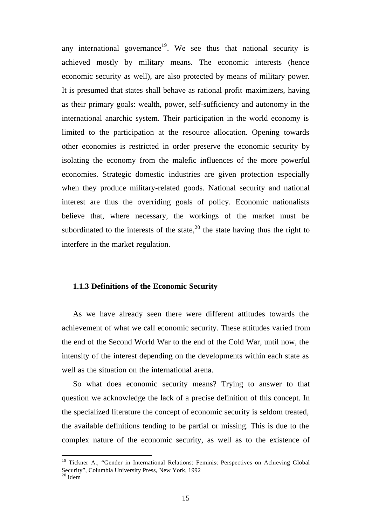any international governance<sup>19</sup>. We see thus that national security is achieved mostly by military means. The economic interests (hence economic security as well), are also protected by means of military power. It is presumed that states shall behave as rational profit maximizers, having as their primary goals: wealth, power, self-sufficiency and autonomy in the international anarchic system. Their participation in the world economy is limited to the participation at the resource allocation. Opening towards other economies is restricted in order preserve the economic security by isolating the economy from the malefic influences of the more powerful economies. Strategic domestic industries are given protection especially when they produce military-related goods. National security and national interest are thus the overriding goals of policy. Economic nationalists believe that, where necessary, the workings of the market must be subordinated to the interests of the state,  $2^{0}$  the state having thus the right to interfere in the market regulation.

#### **1.1.3 Definitions of the Economic Security**

l

As we have already seen there were different attitudes towards the achievement of what we call economic security. These attitudes varied from the end of the Second World War to the end of the Cold War, until now, the intensity of the interest depending on the developments within each state as well as the situation on the international arena.

So what does economic security means? Trying to answer to that question we acknowledge the lack of a precise definition of this concept. In the specialized literature the concept of economic security is seldom treated, the available definitions tending to be partial or missing. This is due to the complex nature of the economic security, as well as to the existence of

<sup>&</sup>lt;sup>19</sup> Tickner A., "Gender in International Relations: Feminist Perspectives on Achieving Global Security", Columbia University Press, New York, 1992  $20$  idem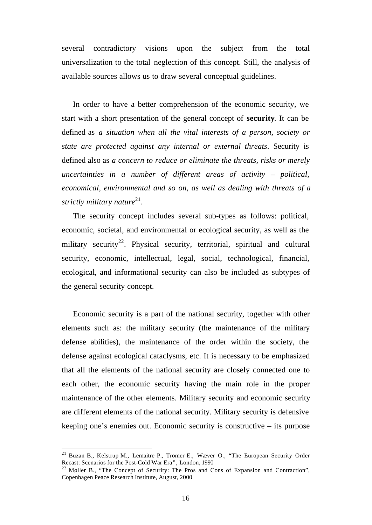several contradictory visions upon the subject from the total universalization to the total neglection of this concept. Still, the analysis of available sources allows us to draw several conceptual guidelines.

In order to have a better comprehension of the economic security, we start with a short presentation of the general concept of **security**. It can be defined as *a situation when all the vital interests of a person, society or state are protected against any internal or external threats*. Security is defined also as *a concern to reduce or eliminate the threats, risks or merely uncertainties in a number of different areas of activity – political, economical, environmental and so on, as well as dealing with threats of a* strictly military nature<sup>21</sup>.

The security concept includes several sub-types as follows: political, economic, societal, and environmental or ecological security, as well as the military security<sup>22</sup>. Physical security, territorial, spiritual and cultural security, economic, intellectual, legal, social, technological, financial, ecological, and informational security can also be included as subtypes of the general security concept.

Economic security is a part of the national security, together with other elements such as: the military security (the maintenance of the military defense abilities), the maintenance of the order within the society, the defense against ecological cataclysms, etc. It is necessary to be emphasized that all the elements of the national security are closely connected one to each other, the economic security having the main role in the proper maintenance of the other elements. Military security and economic security are different elements of the national security. Military security is defensive keeping one's enemies out. Economic security is constructive – its purpose

<sup>21</sup> Buzan B., Kelstrup M., Lemaitre P., Tromer E., Wæver O., "The European Security Order Recast: Scenarios for the Post-Cold War Era", London, 1990

 $^{22}$  Møller B., "The Concept of Security: The Pros and Cons of Expansion and Contraction", Copenhagen Peace Research Institute, August, 2000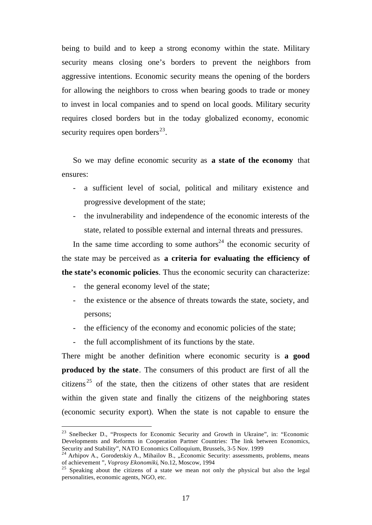being to build and to keep a strong economy within the state. Military security means closing one's borders to prevent the neighbors from aggressive intentions. Economic security means the opening of the borders for allowing the neighbors to cross when bearing goods to trade or money to invest in local companies and to spend on local goods. Military security requires closed borders but in the today globalized economy, economic security requires open borders $^{23}$ .

So we may define economic security as **a state of the economy** that ensures:

- a sufficient level of social, political and military existence and progressive development of the state;
- the invulnerability and independence of the economic interests of the state, related to possible external and internal threats and pressures.

In the same time according to some authors<sup>24</sup> the economic security of the state may be perceived as **a criteria for evaluating the efficiency of the state's economic policies**. Thus the economic security can characterize:

the general economy level of the state;

l

- the existence or the absence of threats towards the state, society, and persons;
- the efficiency of the economy and economic policies of the state;
- the full accomplishment of its functions by the state.

There might be another definition where economic security is **a good produced by the state**. The consumers of this product are first of all the citizens<sup>25</sup> of the state, then the citizens of other states that are resident within the given state and finally the citizens of the neighboring states (economic security export). When the state is not capable to ensure the

<sup>&</sup>lt;sup>23</sup> Snelbecker D., "Prospects for Economic Security and Growth in Ukraine", in: "Economic Developments and Reforms in Cooperation Partner Countries: The link between Economics, Security and Stability", NATO Economics Colloquium, Brussels, 3-5 Nov. 1999

<sup>&</sup>lt;sup>4</sup> Arhipov A., Gorodetskiy A., Mihailov B., "Economic Security: assessments, problems, means of achievement ", *Voprosy Ekonomiki*, No.12, Moscow, 1994

<sup>&</sup>lt;sup>25</sup> Speaking about the citizens of a state we mean not only the physical but also the legal personalities, economic agents, NGO, etc.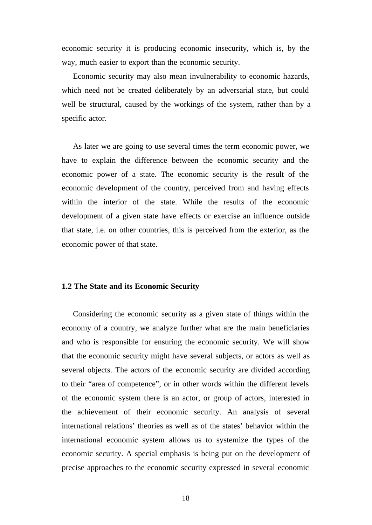economic security it is producing economic insecurity, which is, by the way, much easier to export than the economic security.

Economic security may also mean invulnerability to economic hazards, which need not be created deliberately by an adversarial state, but could well be structural, caused by the workings of the system, rather than by a specific actor.

As later we are going to use several times the term economic power, we have to explain the difference between the economic security and the economic power of a state. The economic security is the result of the economic development of the country, perceived from and having effects within the interior of the state. While the results of the economic development of a given state have effects or exercise an influence outside that state, i.e. on other countries, this is perceived from the exterior, as the economic power of that state.

#### **1.2 The State and its Economic Security**

Considering the economic security as a given state of things within the economy of a country, we analyze further what are the main beneficiaries and who is responsible for ensuring the economic security. We will show that the economic security might have several subjects, or actors as well as several objects. The actors of the economic security are divided according to their "area of competence", or in other words within the different levels of the economic system there is an actor, or group of actors, interested in the achievement of their economic security. An analysis of several international relations' theories as well as of the states' behavior within the international economic system allows us to systemize the types of the economic security. A special emphasis is being put on the development of precise approaches to the economic security expressed in several economic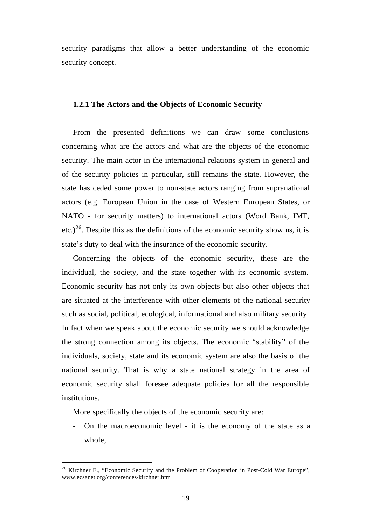security paradigms that allow a better understanding of the economic security concept.

#### **1.2.1 The Actors and the Objects of Economic Security**

From the presented definitions we can draw some conclusions concerning what are the actors and what are the objects of the economic security. The main actor in the international relations system in general and of the security policies in particular, still remains the state. However, the state has ceded some power to non-state actors ranging from supranational actors (e.g. European Union in the case of Western European States, or NATO - for security matters) to international actors (Word Bank, IMF, etc.)<sup>26</sup>. Despite this as the definitions of the economic security show us, it is state's duty to deal with the insurance of the economic security.

Concerning the objects of the economic security, these are the individual, the society, and the state together with its economic system. Economic security has not only its own objects but also other objects that are situated at the interference with other elements of the national security such as social, political, ecological, informational and also military security. In fact when we speak about the economic security we should acknowledge the strong connection among its objects. The economic "stability" of the individuals, society, state and its economic system are also the basis of the national security. That is why a state national strategy in the area of economic security shall foresee adequate policies for all the responsible institutions.

More specifically the objects of the economic security are:

l

- On the macroeconomic level - it is the economy of the state as a whole,

<sup>&</sup>lt;sup>26</sup> Kirchner E., "Economic Security and the Problem of Cooperation in Post-Cold War Europe", www.ecsanet.org/conferences/kirchner.htm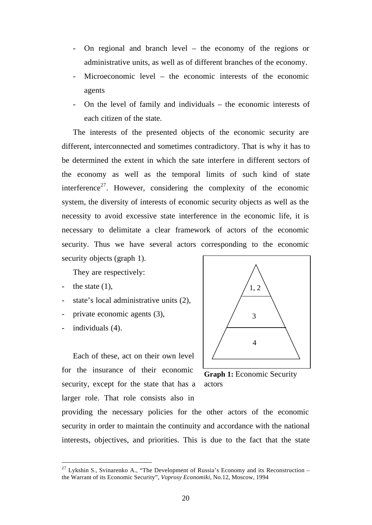- On regional and branch level the economy of the regions or administrative units, as well as of different branches of the economy.
- Microeconomic level the economic interests of the economic agents
- On the level of family and individuals  $-$  the economic interests of each citizen of the state.

The interests of the presented objects of the economic security are different, interconnected and sometimes contradictory. That is why it has to be determined the extent in which the sate interfere in different sectors of the economy as well as the temporal limits of such kind of state interference<sup>27</sup>. However, considering the complexity of the economic system, the diversity of interests of economic security objects as well as the necessity to avoid excessive state interference in the economic life, it is necessary to delimitate a clear framework of actors of the economic security. Thus we have several actors corresponding to the economic security objects (graph 1).

They are respectively:

- the state  $(1)$ ,
- state's local administrative units (2),
- private economic agents (3),
- individuals (4).

l

Each of these, act on their own level for the insurance of their economic security, except for the state that has a larger role. That role consists also in



**Graph 1:** Economic Security actors

providing the necessary policies for the other actors of the economic security in order to maintain the continuity and accordance with the national interests, objectives, and priorities. This is due to the fact that the state

 $27$  Lykshin S., Svinarenko A., "The Development of Russia's Economy and its Reconstruction – the Warrant of its Economic Security", *Voprosy Economiki*, No.12, Moscow, 1994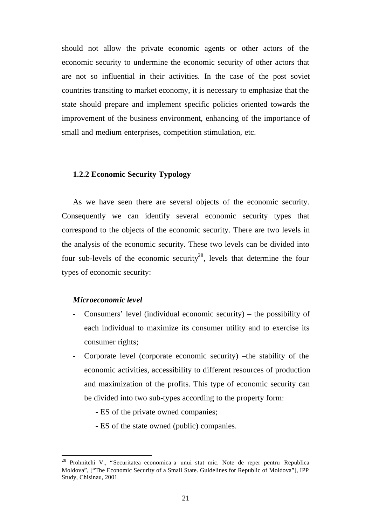should not allow the private economic agents or other actors of the economic security to undermine the economic security of other actors that are not so influential in their activities. In the case of the post soviet countries transiting to market economy, it is necessary to emphasize that the state should prepare and implement specific policies oriented towards the improvement of the business environment, enhancing of the importance of small and medium enterprises, competition stimulation, etc.

## **1.2.2 Economic Security Typology**

As we have seen there are several objects of the economic security. Consequently we can identify several economic security types that correspond to the objects of the economic security. There are two levels in the analysis of the economic security. These two levels can be divided into four sub-levels of the economic security<sup>28</sup>, levels that determine the four types of economic security:

#### *Microeconomic level*

- Consumers' level (individual economic security) the possibility of each individual to maximize its consumer utility and to exercise its consumer rights;
- Corporate level (corporate economic security) –the stability of the economic activities, accessibility to different resources of production and maximization of the profits. This type of economic security can be divided into two sub-types according to the property form:
	- ES of the private owned companies;
	- ES of the state owned (public) companies.

<sup>&</sup>lt;sup>28</sup> Prohnitchi V., "Securitatea economica a unui stat mic. Note de reper pentru Republica Moldova", ["The Economic Security of a Small State. Guidelines for Republic of Moldova"], IPP Study, Chisinau, 2001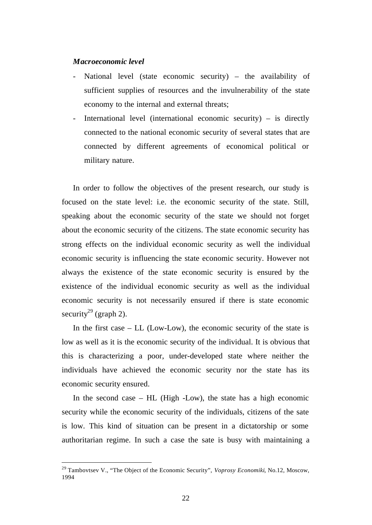#### *Macroeconomic level*

- National level (state economic security) the availability of sufficient supplies of resources and the invulnerability of the state economy to the internal and external threats;
- International level (international economic security) is directly connected to the national economic security of several states that are connected by different agreements of economical political or military nature.

In order to follow the objectives of the present research, our study is focused on the state level: i.e. the economic security of the state. Still, speaking about the economic security of the state we should not forget about the economic security of the citizens. The state economic security has strong effects on the individual economic security as well the individual economic security is influencing the state economic security. However not always the existence of the state economic security is ensured by the existence of the individual economic security as well as the individual economic security is not necessarily ensured if there is state economic security<sup>29</sup> (graph 2).

In the first case  $-$  LL (Low-Low), the economic security of the state is low as well as it is the economic security of the individual. It is obvious that this is characterizing a poor, under-developed state where neither the individuals have achieved the economic security nor the state has its economic security ensured.

In the second case – HL (High -Low), the state has a high economic security while the economic security of the individuals, citizens of the sate is low. This kind of situation can be present in a dictatorship or some authoritarian regime. In such a case the sate is busy with maintaining a

<sup>29</sup> Tambovtsev V., "The Object of the Economic Security", *Voprosy Economiki*, No.12, Moscow, 1994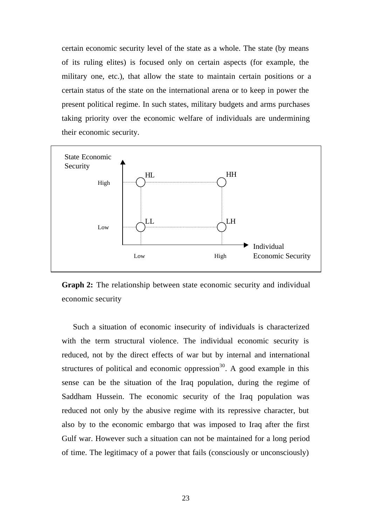certain economic security level of the state as a whole. The state (by means of its ruling elites) is focused only on certain aspects (for example, the military one, etc.), that allow the state to maintain certain positions or a certain status of the state on the international arena or to keep in power the present political regime. In such states, military budgets and arms purchases taking priority over the economic welfare of individuals are undermining their economic security.



**Graph 2:** The relationship between state economic security and individual economic security

Such a situation of economic insecurity of individuals is characterized with the term structural violence. The individual economic security is reduced, not by the direct effects of war but by internal and international structures of political and economic oppression<sup>30</sup>. A good example in this sense can be the situation of the Iraq population, during the regime of Saddham Hussein. The economic security of the Iraq population was reduced not only by the abusive regime with its repressive character, but also by to the economic embargo that was imposed to Iraq after the first Gulf war. However such a situation can not be maintained for a long period of time. The legitimacy of a power that fails (consciously or unconsciously)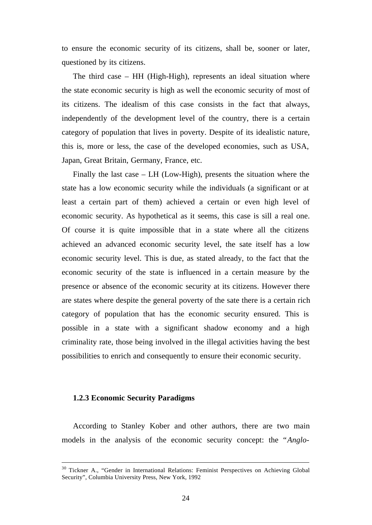to ensure the economic security of its citizens, shall be, sooner or later, questioned by its citizens.

The third case – HH (High-High), represents an ideal situation where the state economic security is high as well the economic security of most of its citizens. The idealism of this case consists in the fact that always, independently of the development level of the country, there is a certain category of population that lives in poverty. Despite of its idealistic nature, this is, more or less, the case of the developed economies, such as USA, Japan, Great Britain, Germany, France, etc.

Finally the last case – LH (Low-High), presents the situation where the state has a low economic security while the individuals (a significant or at least a certain part of them) achieved a certain or even high level of economic security. As hypothetical as it seems, this case is sill a real one. Of course it is quite impossible that in a state where all the citizens achieved an advanced economic security level, the sate itself has a low economic security level. This is due, as stated already, to the fact that the economic security of the state is influenced in a certain measure by the presence or absence of the economic security at its citizens. However there are states where despite the general poverty of the sate there is a certain rich category of population that has the economic security ensured. This is possible in a state with a significant shadow economy and a high criminality rate, those being involved in the illegal activities having the best possibilities to enrich and consequently to ensure their economic security.

#### **1.2.3 Economic Security Paradigms**

l

According to Stanley Kober and other authors, there are two main models in the analysis of the economic security concept: the "*Anglo-*

<sup>&</sup>lt;sup>30</sup> Tickner A., "Gender in International Relations: Feminist Perspectives on Achieving Global Security", Columbia University Press, New York, 1992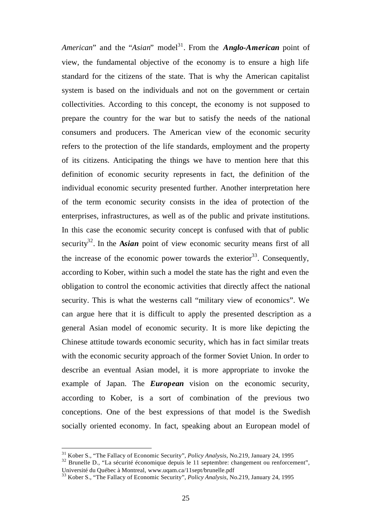*American*" and the "*Asian*" model<sup>31</sup>. From the *Anglo-American* point of view, the fundamental objective of the economy is to ensure a high life standard for the citizens of the state. That is why the American capitalist system is based on the individuals and not on the government or certain collectivities. According to this concept, the economy is not supposed to prepare the country for the war but to satisfy the needs of the national consumers and producers. The American view of the economic security refers to the protection of the life standards, employment and the property of its citizens. Anticipating the things we have to mention here that this definition of economic security represents in fact, the definition of the individual economic security presented further. Another interpretation here of the term economic security consists in the idea of protection of the enterprises, infrastructures, as well as of the public and private institutions. In this case the economic security concept is confused with that of public security<sup>32</sup>. In the **A***sian* point of view economic security means first of all the increase of the economic power towards the exterior  $33$ . Consequently, according to Kober, within such a model the state has the right and even the obligation to control the economic activities that directly affect the national security. This is what the westerns call "military view of economics". We can argue here that it is difficult to apply the presented description as a general Asian model of economic security. It is more like depicting the Chinese attitude towards economic security, which has in fact similar treats with the economic security approach of the former Soviet Union. In order to describe an eventual Asian model, it is more appropriate to invoke the example of Japan. The *European* vision on the economic security, according to Kober, is a sort of combination of the previous two conceptions. One of the best expressions of that model is the Swedish socially oriented economy. In fact, speaking about an European model of

<sup>31</sup> Kober S., "The Fallacy of Economic Security", *Policy Analysis*, No.219, January 24, 1995

<sup>&</sup>lt;sup>32</sup> Brunelle D., "La sécurité économique depuis le 11 septembre: changement ou renforcement", Université du Québec à Montreal, www.uqam.ca/11sept/brunelle.pdf

<sup>33</sup> Kober S., "The Fallacy of Economic Security", *Policy Analysis*, No.219, January 24, 1995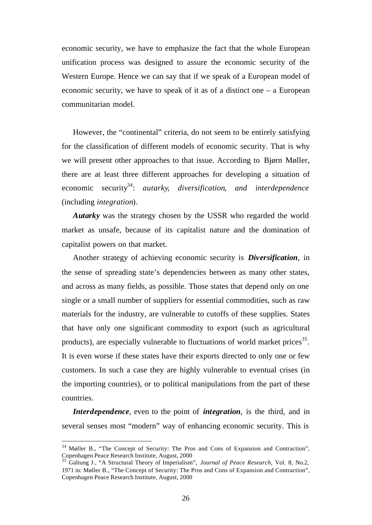economic security, we have to emphasize the fact that the whole European unification process was designed to assure the economic security of the Western Europe. Hence we can say that if we speak of a European model of economic security, we have to speak of it as of a distinct one – a European communitarian model.

However, the "continental" criteria, do not seem to be entirely satisfying for the classification of different models of economic security. That is why we will present other approaches to that issue. According to Bjørn Møller, there are at least three different approaches for developing a situation of economic security<sup>34</sup>: autarky, diversification, and interdependence (including *integration*).

*Autarky* was the strategy chosen by the USSR who regarded the world market as unsafe, because of its capitalist nature and the domination of capitalist powers on that market.

Another strategy of achieving economic security is *Diversification*, in the sense of spreading state's dependencies between as many other states, and across as many fields, as possible. Those states that depend only on one single or a small number of suppliers for essential commodities, such as raw materials for the industry, are vulnerable to cutoffs of these supplies. States that have only one significant commodity to export (such as agricultural products), are especially vulnerable to fluctuations of world market prices<sup>35</sup>. It is even worse if these states have their exports directed to only one or few customers. In such a case they are highly vulnerable to eventual crises (in the importing countries), or to political manipulations from the part of these countries.

*Interdependence*, even to the point of *integration*, is the third, and in several senses most "modern" way of enhancing economic security. This is

<sup>&</sup>lt;sup>34</sup> Møller B., "The Concept of Security: The Pros and Cons of Expansion and Contraction", Copenhagen Peace Research Institute, August, 2000

<sup>35</sup> Galtung J., "A Structural Theory of Imperialism", *Journal of Peace Research*, Vol. 8, No.2, 1971 in: Møller B., "The Concept of Security: The Pros and Cons of Expansion and Contraction", Copenhagen Peace Research Institute, August, 2000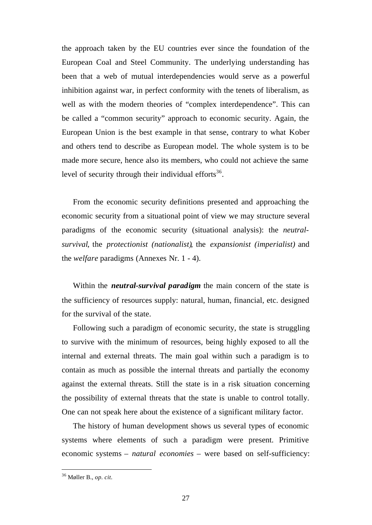the approach taken by the EU countries ever since the foundation of the European Coal and Steel Community. The underlying understanding has been that a web of mutual interdependencies would serve as a powerful inhibition against war, in perfect conformity with the tenets of liberalism, as well as with the modern theories of "complex interdependence". This can be called a "common security" approach to economic security. Again, the European Union is the best example in that sense, contrary to what Kober and others tend to describe as European model. The whole system is to be made more secure, hence also its members, who could not achieve the same level of security through their individual efforts $36$ .

From the economic security definitions presented and approaching the economic security from a situational point of view we may structure several paradigms of the economic security (situational analysis): the *neutralsurvival*, the *protectionist (nationalist)*, the *expansionist (imperialist)* and the *welfare* paradigms (Annexes Nr. 1 - 4).

Within the *neutral-survival paradigm* the main concern of the state is the sufficiency of resources supply: natural, human, financial, etc. designed for the survival of the state.

Following such a paradigm of economic security, the state is struggling to survive with the minimum of resources, being highly exposed to all the internal and external threats. The main goal within such a paradigm is to contain as much as possible the internal threats and partially the economy against the external threats. Still the state is in a risk situation concerning the possibility of external threats that the state is unable to control totally. One can not speak here about the existence of a significant military factor.

The history of human development shows us several types of economic systems where elements of such a paradigm were present. Primitive economic systems – *natural economies* – were based on self-sufficiency:

<sup>36</sup> Møller B., *op. cit.*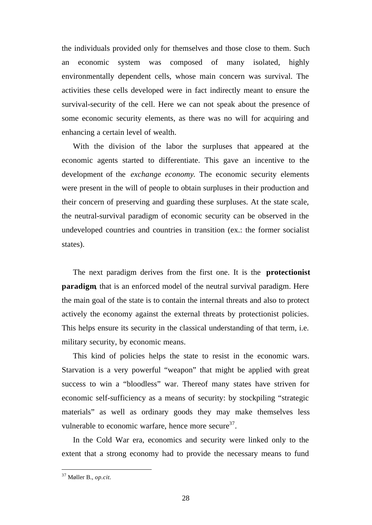the individuals provided only for themselves and those close to them. Such an economic system was composed of many isolated, highly environmentally dependent cells, whose main concern was survival. The activities these cells developed were in fact indirectly meant to ensure the survival-security of the cell. Here we can not speak about the presence of some economic security elements, as there was no will for acquiring and enhancing a certain level of wealth.

With the division of the labor the surpluses that appeared at the economic agents started to differentiate. This gave an incentive to the development of the *exchange economy*. The economic security elements were present in the will of people to obtain surpluses in their production and their concern of preserving and guarding these surpluses. At the state scale, the neutral-survival paradigm of economic security can be observed in the undeveloped countries and countries in transition (ex.: the former socialist states).

The next paradigm derives from the first one. It is the **protectionist paradigm**, that is an enforced model of the neutral survival paradigm. Here the main goal of the state is to contain the internal threats and also to protect actively the economy against the external threats by protectionist policies. This helps ensure its security in the classical understanding of that term, i.e. military security, by economic means.

This kind of policies helps the state to resist in the economic wars. Starvation is a very powerful "weapon" that might be applied with great success to win a "bloodless" war. Thereof many states have striven for economic self-sufficiency as a means of security: by stockpiling "strategic materials" as well as ordinary goods they may make themselves less vulnerable to economic warfare, hence more secure<sup>37</sup>.

In the Cold War era, economics and security were linked only to the extent that a strong economy had to provide the necessary means to fund

<sup>37</sup> Møller B., *op.cit.*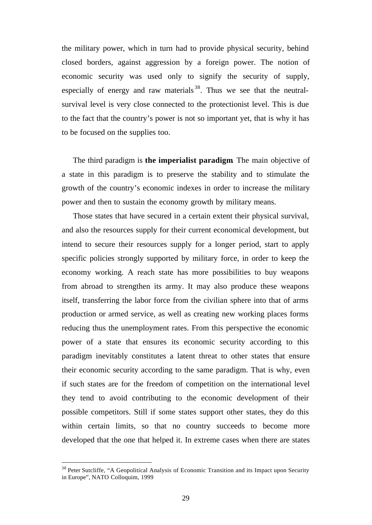the military power, which in turn had to provide physical security, behind closed borders, against aggression by a foreign power. The notion of economic security was used only to signify the security of supply, especially of energy and raw materials  $38$ . Thus we see that the neutralsurvival level is very close connected to the protectionist level. This is due to the fact that the country's power is not so important yet, that is why it has to be focused on the supplies too.

The third paradigm is **the imperialist paradigm**. The main objective of a state in this paradigm is to preserve the stability and to stimulate the growth of the country's economic indexes in order to increase the military power and then to sustain the economy growth by military means.

Those states that have secured in a certain extent their physical survival, and also the resources supply for their current economical development, but intend to secure their resources supply for a longer period, start to apply specific policies strongly supported by military force, in order to keep the economy working. A reach state has more possibilities to buy weapons from abroad to strengthen its army. It may also produce these weapons itself, transferring the labor force from the civilian sphere into that of arms production or armed service, as well as creating new working places forms reducing thus the unemployment rates. From this perspective the economic power of a state that ensures its economic security according to this paradigm inevitably constitutes a latent threat to other states that ensure their economic security according to the same paradigm. That is why, even if such states are for the freedom of competition on the international level they tend to avoid contributing to the economic development of their possible competitors. Still if some states support other states, they do this within certain limits, so that no country succeeds to become more developed that the one that helped it. In extreme cases when there are states

<sup>&</sup>lt;sup>38</sup> Peter Sutcliffe, "A Geopolitical Analysis of Economic Transition and its Impact upon Security in Europe", NATO Colloquim, 1999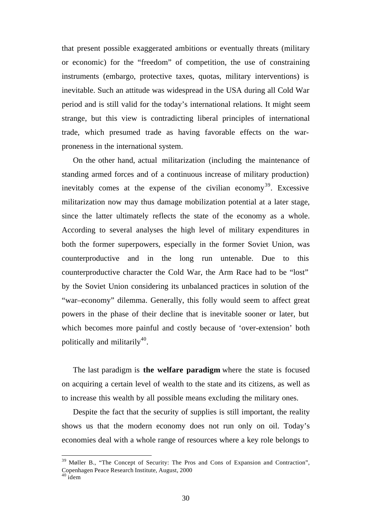that present possible exaggerated ambitions or eventually threats (military or economic) for the "freedom" of competition, the use of constraining instruments (embargo, protective taxes, quotas, military interventions) is inevitable. Such an attitude was widespread in the USA during all Cold War period and is still valid for the today's international relations. It might seem strange, but this view is contradicting liberal principles of international trade, which presumed trade as having favorable effects on the warproneness in the international system.

On the other hand, actual militarization (including the maintenance of standing armed forces and of a continuous increase of military production) inevitably comes at the expense of the civilian economy<sup>39</sup>. Excessive militarization now may thus damage mobilization potential at a later stage, since the latter ultimately reflects the state of the economy as a whole. According to several analyses the high level of military expenditures in both the former superpowers, especially in the former Soviet Union, was counterproductive and in the long run untenable. Due to this counterproductive character the Cold War, the Arm Race had to be "lost" by the Soviet Union considering its unbalanced practices in solution of the "war–economy" dilemma. Generally, this folly would seem to affect great powers in the phase of their decline that is inevitable sooner or later, but which becomes more painful and costly because of 'over-extension' both politically and militarily<sup>40</sup>.

The last paradigm is **the welfare paradigm** where the state is focused on acquiring a certain level of wealth to the state and its citizens, as well as to increase this wealth by all possible means excluding the military ones.

Despite the fact that the security of supplies is still important, the reality shows us that the modern economy does not run only on oil. Today's economies deal with a whole range of resources where a key role belongs to

Møller B., "The Concept of Security: The Pros and Cons of Expansion and Contraction", Copenhagen Peace Research Institute, August, 2000

 $40$  idem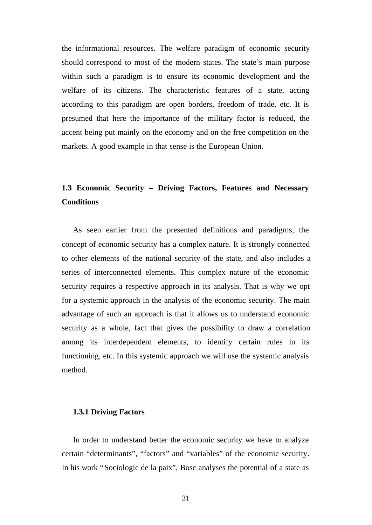the informational resources. The welfare paradigm of economic security should correspond to most of the modern states. The state's main purpose within such a paradigm is to ensure its economic development and the welfare of its citizens. The characteristic features of a state, acting according to this paradigm are open borders, freedom of trade, etc. It is presumed that here the importance of the military factor is reduced, the accent being put mainly on the economy and on the free competition on the markets. A good example in that sense is the European Union.

# **1.3 Economic Security – Driving Factors, Features and Necessary Conditions**

As seen earlier from the presented definitions and paradigms, the concept of economic security has a complex nature. It is strongly connected to other elements of the national security of the state, and also includes a series of interconnected elements. This complex nature of the economic security requires a respective approach in its analysis. That is why we opt for a systemic approach in the analysis of the economic security. The main advantage of such an approach is that it allows us to understand economic security as a whole, fact that gives the possibility to draw a correlation among its interdependent elements, to identify certain rules in its functioning, etc. In this systemic approach we will use the systemic analysis method.

#### **1.3.1 Driving Factors**

In order to understand better the economic security we have to analyze certain "determinants", "factors" and "variables" of the economic security. In his work "Sociologie de la paix", Bosc analyses the potential of a state as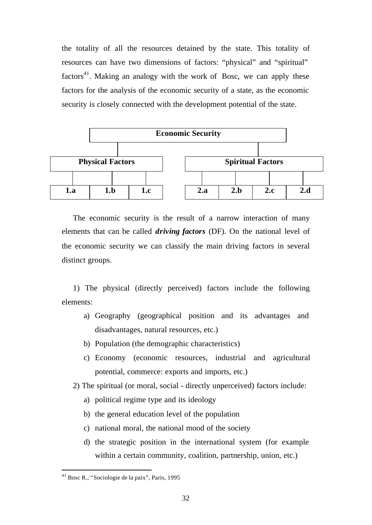the totality of all the resources detained by the state. This totality of resources can have two dimensions of factors: "physical" and "spiritual" factors $41$ . Making an analogy with the work of Bosc, we can apply these factors for the analysis of the economic security of a state, as the economic security is closely connected with the development potential of the state.



The economic security is the result of a narrow interaction of many elements that can be called *driving factors* (DF). On the national level of the economic security we can classify the main driving factors in several distinct groups.

1) The physical (directly perceived) factors include the following elements:

- a) Geography (geographical position and its advantages and disadvantages, natural resources, etc.)
- b) Population (the demographic characteristics)
- c) Economy (economic resources, industrial and agricultural potential, commerce: exports and imports, etc.)

2) The spiritual (or moral, social - directly unperceived) factors include:

- a) political regime type and its ideology
- b) the general education level of the population
- c) national moral, the national mood of the society
- d) the strategic position in the international system (for example within a certain community, coalition, partnership, union, etc.)

<sup>41</sup> Bosc R., "Sociologie de la paix", Paris, 1995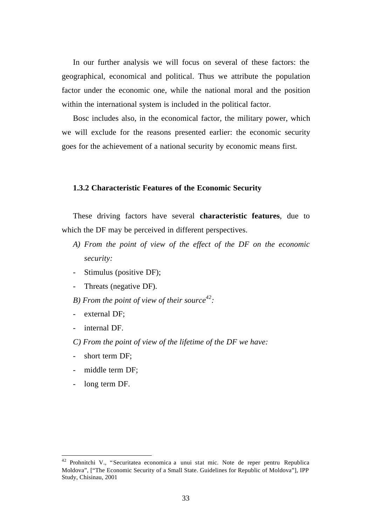In our further analysis we will focus on several of these factors: the geographical, economical and political. Thus we attribute the population factor under the economic one, while the national moral and the position within the international system is included in the political factor.

Bosc includes also, in the economical factor, the military power, which we will exclude for the reasons presented earlier: the economic security goes for the achievement of a national security by economic means first.

#### **1.3.2 Characteristic Features of the Economic Security**

These driving factors have several **characteristic features**, due to which the DF may be perceived in different perspectives.

- *A) From the point of view of the effect of the DF on the economic security:*
- Stimulus (positive DF);
- Threats (negative DF).
- *B) From the point of view of their source<sup>42</sup> :*
- external DF;
- internal DF.
- *C) From the point of view of the lifetime of the DF we have:*
- short term DF;
- middle term DF;
- long term DF.

<sup>42</sup> Prohnitchi V., "Securitatea economica a unui stat mic. Note de reper pentru Republica Moldova", ["The Economic Security of a Small State. Guidelines for Republic of Moldova"], IPP Study, Chisinau, 2001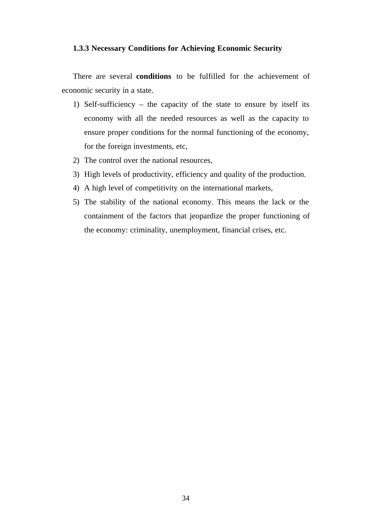## **1.3.3 Necessary Conditions for Achieving Economic Security**

There are several **conditions** to be fulfilled for the achievement of economic security in a state.

- 1) Self-sufficiency the capacity of the state to ensure by itself its economy with all the needed resources as well as the capacity to ensure proper conditions for the normal functioning of the economy, for the foreign investments, etc,
- 2) The control over the national resources,
- 3) High levels of productivity, efficiency and quality of the production.
- 4) A high level of competitivity on the international markets,
- 5) The stability of the national economy. This means the lack or the containment of the factors that jeopardize the proper functioning of the economy: criminality, unemployment, financial crises, etc.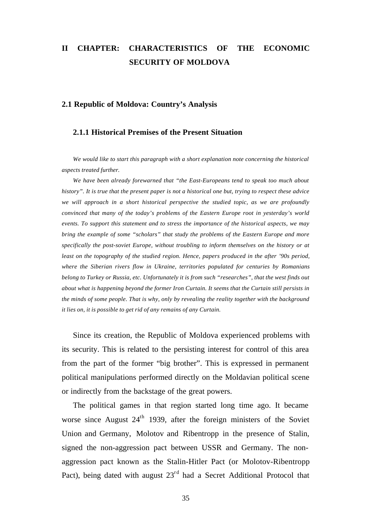# **II CHAPTER: CHARACTERISTICS OF THE ECONOMIC SECURITY OF MOLDOVA**

#### **2.1 Republic of Moldova: Country's Analysis**

#### **2.1.1 Historical Premises of the Present Situation**

*We would like to start this paragraph with a short explanation note concerning the historical aspects treated further.*

*We have been already forewarned that "the East-Europeans tend to speak too much about history". It is true that the present paper is not a historical one but, trying to respect these advice we will approach in a short historical perspective the studied topic, as we are profoundly convinced that many of the today's problems of the Eastern Europe root in yesterday's world events. To support this statement and to stress the importance of the historical aspects, we may bring the example of some "scholars" that study the problems of the Eastern Europe and more specifically the post-soviet Europe, without troubling to inform themselves on the history or at least on the topography of the studied region. Hence, papers produced in the after '90s period, where the Siberian rivers flow in Ukraine, territories populated for centuries by Romanians belong to Turkey or Russia, etc. Unfortunately it is from such "researches", that the west finds out about what is happening beyond the former Iron Curtain. It seems that the Curtain still persists in the minds of some people. That is why, only by revealing the reality together with the background it lies on, it is possible to get rid of any remains of any Curtain.*

Since its creation, the Republic of Moldova experienced problems with its security. This is related to the persisting interest for control of this area from the part of the former "big brother". This is expressed in permanent political manipulations performed directly on the Moldavian political scene or indirectly from the backstage of the great powers.

The political games in that region started long time ago. It became worse since August  $24<sup>th</sup>$  1939, after the foreign ministers of the Soviet Union and Germany, Molotov and Ribentropp in the presence of Stalin, signed the non-aggression pact between USSR and Germany. The nonaggression pact known as the Stalin-Hitler Pact (or Molotov-Ribentropp Pact), being dated with august  $23<sup>rd</sup>$  had a Secret Additional Protocol that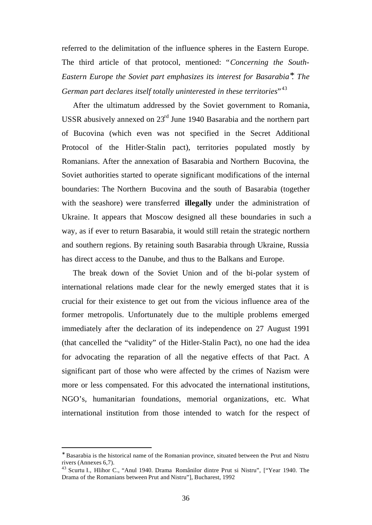referred to the delimitation of the influence spheres in the Eastern Europe. The third article of that protocol, mentioned: "*Concerning the South-Eastern Europe the Soviet part emphasizes its interest for Basarabia\* . The German part declares itself totally uninterested in these territories*" 43

After the ultimatum addressed by the Soviet government to Romania, USSR abusively annexed on 23rd June 1940 Basarabia and the northern part of Bucovina (which even was not specified in the Secret Additional Protocol of the Hitler-Stalin pact), territories populated mostly by Romanians. After the annexation of Basarabia and Northern Bucovina, the Soviet authorities started to operate significant modifications of the internal boundaries: The Northern Bucovina and the south of Basarabia (together with the seashore) were transferred **illegally** under the administration of Ukraine. It appears that Moscow designed all these boundaries in such a way, as if ever to return Basarabia, it would still retain the strategic northern and southern regions. By retaining south Basarabia through Ukraine, Russia has direct access to the Danube, and thus to the Balkans and Europe.

The break down of the Soviet Union and of the bi-polar system of international relations made clear for the newly emerged states that it is crucial for their existence to get out from the vicious influence area of the former metropolis. Unfortunately due to the multiple problems emerged immediately after the declaration of its independence on 27 August 1991 (that cancelled the "validity" of the Hitler-Stalin Pact), no one had the idea for advocating the reparation of all the negative effects of that Pact. A significant part of those who were affected by the crimes of Nazism were more or less compensated. For this advocated the international institutions, NGO's, humanitarian foundations, memorial organizations, etc. What international institution from those intended to watch for the respect of

<sup>∗</sup> Basarabia is the historical name of the Romanian province, situated between the Prut and Nistru rivers (Annexes 6,7).

<sup>&</sup>lt;sup>43</sup> Scurtu I., Hlihor C., "Anul 1940. Drama Românilor dintre Prut si Nistru", ["Year 1940. The Drama of the Romanians between Prut and Nistru"], Bucharest, 1992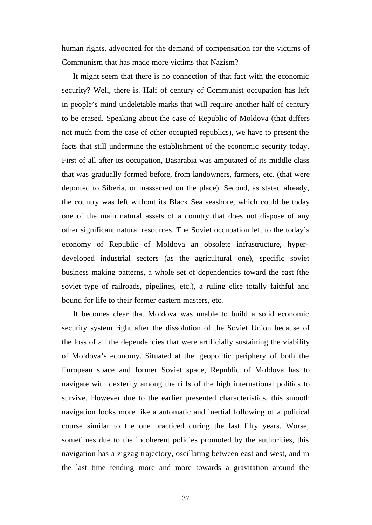human rights, advocated for the demand of compensation for the victims of Communism that has made more victims that Nazism?

It might seem that there is no connection of that fact with the economic security? Well, there is. Half of century of Communist occupation has left in people's mind undeletable marks that will require another half of century to be erased. Speaking about the case of Republic of Moldova (that differs not much from the case of other occupied republics), we have to present the facts that still undermine the establishment of the economic security today. First of all after its occupation, Basarabia was amputated of its middle class that was gradually formed before, from landowners, farmers, etc. (that were deported to Siberia, or massacred on the place). Second, as stated already, the country was left without its Black Sea seashore, which could be today one of the main natural assets of a country that does not dispose of any other significant natural resources. The Soviet occupation left to the today's economy of Republic of Moldova an obsolete infrastructure, hyperdeveloped industrial sectors (as the agricultural one), specific soviet business making patterns, a whole set of dependencies toward the east (the soviet type of railroads, pipelines, etc.), a ruling elite totally faithful and bound for life to their former eastern masters, etc.

It becomes clear that Moldova was unable to build a solid economic security system right after the dissolution of the Soviet Union because of the loss of all the dependencies that were artificially sustaining the viability of Moldova's economy. Situated at the geopolitic periphery of both the European space and former Soviet space, Republic of Moldova has to navigate with dexterity among the riffs of the high international politics to survive. However due to the earlier presented characteristics, this smooth navigation looks more like a automatic and inertial following of a political course similar to the one practiced during the last fifty years. Worse, sometimes due to the incoherent policies promoted by the authorities, this navigation has a zigzag trajectory, oscillating between east and west, and in the last time tending more and more towards a gravitation around the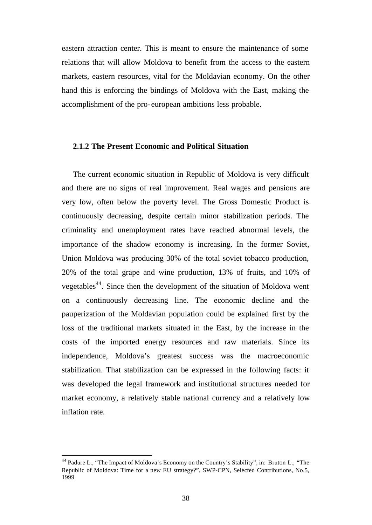eastern attraction center. This is meant to ensure the maintenance of some relations that will allow Moldova to benefit from the access to the eastern markets, eastern resources, vital for the Moldavian economy. On the other hand this is enforcing the bindings of Moldova with the East, making the accomplishment of the pro- european ambitions less probable.

### **2.1.2 The Present Economic and Political Situation**

The current economic situation in Republic of Moldova is very difficult and there are no signs of real improvement. Real wages and pensions are very low, often below the poverty level. The Gross Domestic Product is continuously decreasing, despite certain minor stabilization periods. The criminality and unemployment rates have reached abnormal levels, the importance of the shadow economy is increasing. In the former Soviet, Union Moldova was producing 30% of the total soviet tobacco production, 20% of the total grape and wine production, 13% of fruits, and 10% of vegetables<sup>44</sup>. Since then the development of the situation of Moldova went on a continuously decreasing line. The economic decline and the pauperization of the Moldavian population could be explained first by the loss of the traditional markets situated in the East, by the increase in the costs of the imported energy resources and raw materials. Since its independence, Moldova's greatest success was the macroeconomic stabilization. That stabilization can be expressed in the following facts: it was developed the legal framework and institutional structures needed for market economy, a relatively stable national currency and a relatively low inflation rate.

<sup>44</sup> Padure L., "The Impact of Moldova's Economy on the Country's Stability", in: Bruton L., "The Republic of Moldova: Time for a new EU strategy?", SWP-CPN, Selected Contributions, No.5, 1999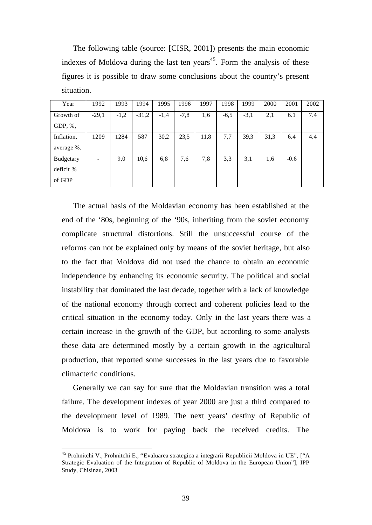The following table (source: [CISR, 2001]) presents the main economic indexes of Moldova during the last ten years<sup>45</sup>. Form the analysis of these figures it is possible to draw some conclusions about the country's present situation.

| Year       | 1992    | 1993   | 1994    | 1995   | 1996   | 1997 | 1998   | 1999   | 2000 | 2001   | 2002 |
|------------|---------|--------|---------|--------|--------|------|--------|--------|------|--------|------|
| Growth of  | $-29,1$ | $-1,2$ | $-31,2$ | $-1,4$ | $-7,8$ | 1,6  | $-6,5$ | $-3,1$ | 2,1  | 6.1    | 7.4  |
| GDP, $%$ , |         |        |         |        |        |      |        |        |      |        |      |
| Inflation, | 1209    | 1284   | 587     | 30,2   | 23,5   | 11,8 | 7,7    | 39,3   | 31,3 | 6.4    | 4.4  |
| average %. |         |        |         |        |        |      |        |        |      |        |      |
| Budgetary  |         | 9,0    | 10,6    | 6,8    | 7,6    | 7,8  | 3,3    | 3,1    | 1,6  | $-0.6$ |      |
| deficit %  |         |        |         |        |        |      |        |        |      |        |      |
| of GDP     |         |        |         |        |        |      |        |        |      |        |      |

The actual basis of the Moldavian economy has been established at the end of the '80s, beginning of the '90s, inheriting from the soviet economy complicate structural distortions. Still the unsuccessful course of the reforms can not be explained only by means of the soviet heritage, but also to the fact that Moldova did not used the chance to obtain an economic independence by enhancing its economic security. The political and social instability that dominated the last decade, together with a lack of knowledge of the national economy through correct and coherent policies lead to the critical situation in the economy today. Only in the last years there was a certain increase in the growth of the GDP, but according to some analysts these data are determined mostly by a certain growth in the agricultural production, that reported some successes in the last years due to favorable climacteric conditions.

Generally we can say for sure that the Moldavian transition was a total failure. The development indexes of year 2000 are just a third compared to the development level of 1989. The next years' destiny of Republic of Moldova is to work for paying back the received credits. The

<sup>&</sup>lt;sup>45</sup> Prohnitchi V., Prohnitchi E., "Evaluarea strategica a integrarii Republicii Moldova in UE", ["A Strategic Evaluation of the Integration of Republic of Moldova in the European Union"], IPP Study, Chisinau, 2003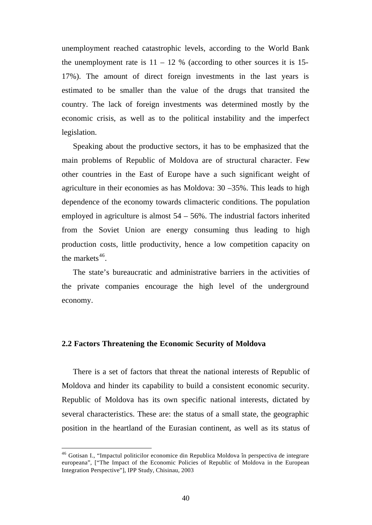unemployment reached catastrophic levels, according to the World Bank the unemployment rate is  $11 - 12$  % (according to other sources it is 15-17%). The amount of direct foreign investments in the last years is estimated to be smaller than the value of the drugs that transited the country. The lack of foreign investments was determined mostly by the economic crisis, as well as to the political instability and the imperfect legislation.

Speaking about the productive sectors, it has to be emphasized that the main problems of Republic of Moldova are of structural character. Few other countries in the East of Europe have a such significant weight of agriculture in their economies as has Moldova: 30 –35%. This leads to high dependence of the economy towards climacteric conditions. The population employed in agriculture is almost  $54 - 56\%$ . The industrial factors inherited from the Soviet Union are energy consuming thus leading to high production costs, little productivity, hence a low competition capacity on the markets $46$ .

The state's bureaucratic and administrative barriers in the activities of the private companies encourage the high level of the underground economy.

#### **2.2 Factors Threatening the Economic Security of Moldova**

l

There is a set of factors that threat the national interests of Republic of Moldova and hinder its capability to build a consistent economic security. Republic of Moldova has its own specific national interests, dictated by several characteristics. These are: the status of a small state, the geographic position in the heartland of the Eurasian continent, as well as its status of

<sup>46</sup> Gotisan I., "Impactul politicilor economice din Republica Moldova în perspectiva de integrare europeana", ["The Impact of the Economic Policies of Republic of Moldova in the European Integration Perspective"], IPP Study, Chisinau, 2003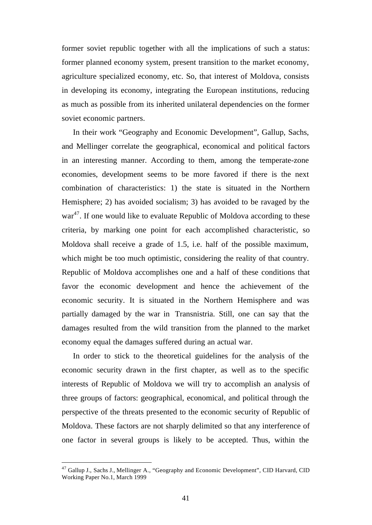former soviet republic together with all the implications of such a status: former planned economy system, present transition to the market economy, agriculture specialized economy, etc. So, that interest of Moldova, consists in developing its economy, integrating the European institutions, reducing as much as possible from its inherited unilateral dependencies on the former soviet economic partners.

In their work "Geography and Economic Development", Gallup, Sachs, and Mellinger correlate the geographical, economical and political factors in an interesting manner. According to them, among the temperate-zone economies, development seems to be more favored if there is the next combination of characteristics: 1) the state is situated in the Northern Hemisphere; 2) has avoided socialism; 3) has avoided to be ravaged by the war<sup>47</sup>. If one would like to evaluate Republic of Moldova according to these criteria, by marking one point for each accomplished characteristic, so Moldova shall receive a grade of 1.5, i.e. half of the possible maximum, which might be too much optimistic, considering the reality of that country. Republic of Moldova accomplishes one and a half of these conditions that favor the economic development and hence the achievement of the economic security. It is situated in the Northern Hemisphere and was partially damaged by the war in Transnistria. Still, one can say that the damages resulted from the wild transition from the planned to the market economy equal the damages suffered during an actual war.

In order to stick to the theoretical guidelines for the analysis of the economic security drawn in the first chapter, as well as to the specific interests of Republic of Moldova we will try to accomplish an analysis of three groups of factors: geographical, economical, and political through the perspective of the threats presented to the economic security of Republic of Moldova. These factors are not sharply delimited so that any interference of one factor in several groups is likely to be accepted. Thus, within the

<sup>&</sup>lt;sup>47</sup> Gallup J., Sachs J., Mellinger A., "Geography and Economic Development", CID Harvard, CID Working Paper No.1, March 1999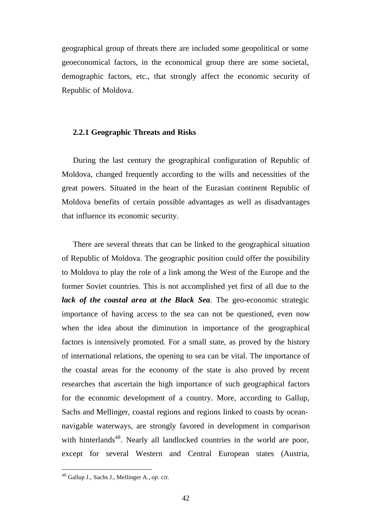geographical group of threats there are included some geopolitical or some geoeconomical factors, in the economical group there are some societal, demographic factors, etc., that strongly affect the economic security of Republic of Moldova.

#### **2.2.1 Geographic Threats and Risks**

During the last century the geographical configuration of Republic of Moldova, changed frequently according to the wills and necessities of the great powers. Situated in the heart of the Eurasian continent Republic of Moldova benefits of certain possible advantages as well as disadvantages that influence its economic security.

There are several threats that can be linked to the geographical situation of Republic of Moldova. The geographic position could offer the possibility to Moldova to play the role of a link among the West of the Europe and the former Soviet countries. This is not accomplished yet first of all due to the *lack of the coastal area at the Black Sea*. The geo-economic strategic importance of having access to the sea can not be questioned, even now when the idea about the diminution in importance of the geographical factors is intensively promoted. For a small state, as proved by the history of international relations, the opening to sea can be vital. The importance of the coastal areas for the economy of the state is also proved by recent researches that ascertain the high importance of such geographical factors for the economic development of a country. More, according to Gallup, Sachs and Mellinger, coastal regions and regions linked to coasts by oceannavigable waterways, are strongly favored in development in comparison with hinterlands<sup>48</sup>. Nearly all landlocked countries in the world are poor, except for several Western and Central European states (Austria,

<sup>48</sup> Gallup J., Sachs J., Mellinger A., *op. cit.*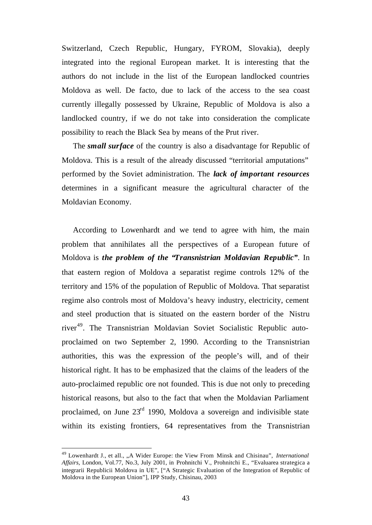Switzerland, Czech Republic, Hungary, FYROM, Slovakia), deeply integrated into the regional European market. It is interesting that the authors do not include in the list of the European landlocked countries Moldova as well. De facto, due to lack of the access to the sea coast currently illegally possessed by Ukraine, Republic of Moldova is also a landlocked country, if we do not take into consideration the complicate possibility to reach the Black Sea by means of the Prut river.

The *small surface* of the country is also a disadvantage for Republic of Moldova. This is a result of the already discussed "territorial amputations" performed by the Soviet administration. The *lack of important resources* determines in a significant measure the agricultural character of the Moldavian Economy.

According to Lowenhardt and we tend to agree with him, the main problem that annihilates all the perspectives of a European future of Moldova is *the problem of the "Transnistrian Moldavian Republic"*. In that eastern region of Moldova a separatist regime controls 12% of the territory and 15% of the population of Republic of Moldova. That separatist regime also controls most of Moldova's heavy industry, electricity, cement and steel production that is situated on the eastern border of the Nistru river<sup>49</sup>. The Transnistrian Moldavian Soviet Socialistic Republic autoproclaimed on two September 2, 1990. According to the Transnistrian authorities, this was the expression of the people's will, and of their historical right. It has to be emphasized that the claims of the leaders of the auto-proclaimed republic ore not founded. This is due not only to preceding historical reasons, but also to the fact that when the Moldavian Parliament proclaimed, on June 23rd 1990, Moldova a sovereign and indivisible state within its existing frontiers, 64 representatives from the Transnistrian

<sup>49</sup> Lowenhardt J., et all., "A Wider Europe: the View From Minsk and Chisinau", *International Affairs*, London, Vol.77, No.3, July 2001, in Prohnitchi V., Prohnitchi E., "Evaluarea strategica a integrarii Republicii Moldova in UE", ["A Strategic Evaluation of the Integration of Republic of Moldova in the European Union"], IPP Study, Chisinau, 2003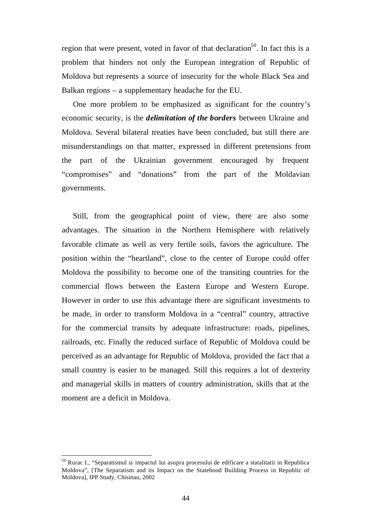region that were present, voted in favor of that declaration<sup>50</sup>. In fact this is a problem that hinders not only the European integration of Republic of Moldova but represents a source of insecurity for the whole Black Sea and Balkan regions – a supplementary headache for the EU.

One more problem to be emphasized as significant for the country's economic security, is the *delimitation of the borders* between Ukraine and Moldova. Several bilateral treaties have been concluded, but still there are misunderstandings on that matter, expressed in different pretensions from the part of the Ukrainian government encouraged by frequent "compromises" and "donations" from the part of the Moldavian governments.

Still, from the geographical point of view, there are also some advantages. The situation in the Northern Hemisphere with relatively favorable climate as well as very fertile soils, favors the agriculture. The position within the "heartland", close to the center of Europe could offer Moldova the possibility to become one of the transiting countries for the commercial flows between the Eastern Europe and Western Europe. However in order to use this advantage there are significant investments to be made, in order to transform Moldova in a "central" country, attractive for the commercial transits by adequate infrastructure: roads, pipelines, railroads, etc. Finally the reduced surface of Republic of Moldova could be perceived as an advantage for Republic of Moldova, provided the fact that a small country is easier to be managed. Still this requires a lot of dexterity and managerial skills in matters of country administration, skills that at the moment are a deficit in Moldova.

<sup>50</sup> Rurac I., "Separatismul si impactul lui asupra procesului de edificare a statalitatii in Republica Moldova", [The Separatism and its Impact on the Statehood Building Process in Republic of Moldova], IPP Study, Chisinau, 2002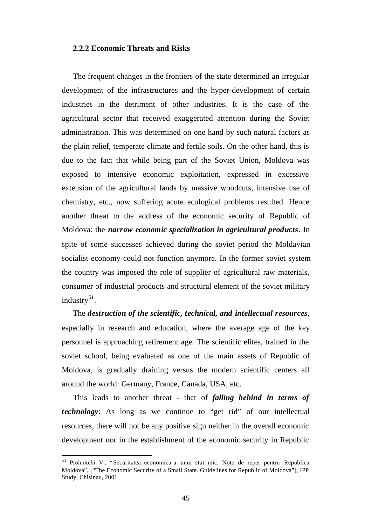### **2.2.2 Economic Threats and Risks**

The frequent changes in the frontiers of the state determined an irregular development of the infrastructures and the hyper-development of certain industries in the detriment of other industries. It is the case of the agricultural sector that received exaggerated attention during the Soviet administration. This was determined on one hand by such natural factors as the plain relief, temperate climate and fertile soils. On the other hand, this is due to the fact that while being part of the Soviet Union, Moldova was exposed to intensive economic exploitation, expressed in excessive extension of the agricultural lands by massive woodcuts, intensive use of chemistry, etc., now suffering acute ecological problems resulted. Hence another threat to the address of the economic security of Republic of Moldova: the *narrow economic specialization in agricultural products*. In spite of some successes achieved during the soviet period the Moldavian socialist economy could not function anymore. In the former soviet system the country was imposed the role of supplier of agricultural raw materials, consumer of industrial products and structural element of the soviet military industry $51$ .

The *destruction of the scientific, technical, and intellectual resources*, especially in research and education, where the average age of the key personnel is approaching retirement age. The scientific elites, trained in the soviet school, being evaluated as one of the main assets of Republic of Moldova, is gradually draining versus the modern scientific centers all around the world: Germany, France, Canada, USA, etc.

This leads to another threat - that of *falling behind in terms of technology*: As long as we continue to "get rid" of our intellectual resources, there will not be any positive sign neither in the overall economic development nor in the establishment of the economic security in Republic

<sup>51</sup> Prohnitchi V., "Securitatea economica a unui stat mic. Note de reper pentru Republica Moldova", ["The Economic Security of a Small State. Guidelines for Republic of Moldova"], IPP Study, Chisinau, 2001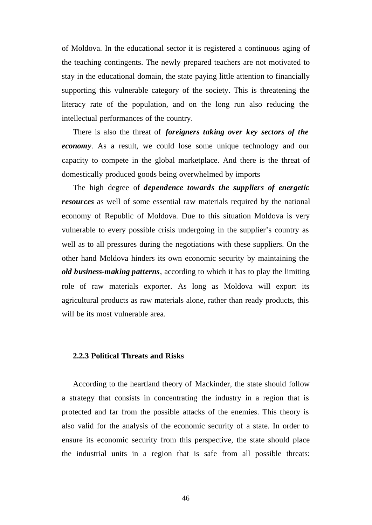of Moldova. In the educational sector it is registered a continuous aging of the teaching contingents. The newly prepared teachers are not motivated to stay in the educational domain, the state paying little attention to financially supporting this vulnerable category of the society. This is threatening the literacy rate of the population, and on the long run also reducing the intellectual performances of the country.

There is also the threat of *foreigners taking over key sectors of the economy*. As a result, we could lose some unique technology and our capacity to compete in the global marketplace. And there is the threat of domestically produced goods being overwhelmed by imports

The high degree of *dependence towards the suppliers of energetic resources* as well of some essential raw materials required by the national economy of Republic of Moldova. Due to this situation Moldova is very vulnerable to every possible crisis undergoing in the supplier's country as well as to all pressures during the negotiations with these suppliers. On the other hand Moldova hinders its own economic security by maintaining the *old business-making patterns*, according to which it has to play the limiting role of raw materials exporter. As long as Moldova will export its agricultural products as raw materials alone, rather than ready products, this will be its most vulnerable area.

## **2.2.3 Political Threats and Risks**

According to the heartland theory of Mackinder, the state should follow a strategy that consists in concentrating the industry in a region that is protected and far from the possible attacks of the enemies. This theory is also valid for the analysis of the economic security of a state. In order to ensure its economic security from this perspective, the state should place the industrial units in a region that is safe from all possible threats: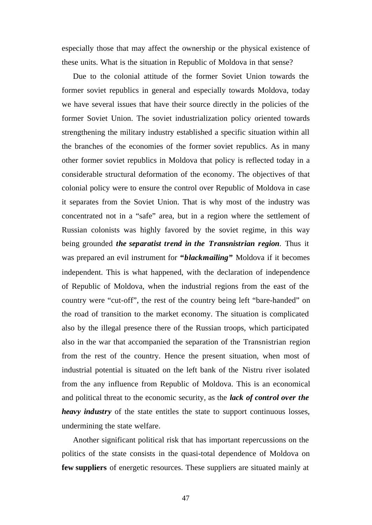especially those that may affect the ownership or the physical existence of these units. What is the situation in Republic of Moldova in that sense?

Due to the colonial attitude of the former Soviet Union towards the former soviet republics in general and especially towards Moldova, today we have several issues that have their source directly in the policies of the former Soviet Union. The soviet industrialization policy oriented towards strengthening the military industry established a specific situation within all the branches of the economies of the former soviet republics. As in many other former soviet republics in Moldova that policy is reflected today in a considerable structural deformation of the economy. The objectives of that colonial policy were to ensure the control over Republic of Moldova in case it separates from the Soviet Union. That is why most of the industry was concentrated not in a "safe" area, but in a region where the settlement of Russian colonists was highly favored by the soviet regime, in this way being grounded *the separatist trend in the Transnistrian region*. Thus it was prepared an evil instrument for **"***blackmailing***"** Moldova if it becomes independent. This is what happened, with the declaration of independence of Republic of Moldova, when the industrial regions from the east of the country were "cut-off", the rest of the country being left "bare-handed" on the road of transition to the market economy. The situation is complicated also by the illegal presence there of the Russian troops, which participated also in the war that accompanied the separation of the Transnistrian region from the rest of the country. Hence the present situation, when most of industrial potential is situated on the left bank of the Nistru river isolated from the any influence from Republic of Moldova. This is an economical and political threat to the economic security, as the *lack of control over the heavy industry* of the state entitles the state to support continuous losses, undermining the state welfare.

Another significant political risk that has important repercussions on the politics of the state consists in the quasi-total dependence of Moldova on **few suppliers** of energetic resources. These suppliers are situated mainly at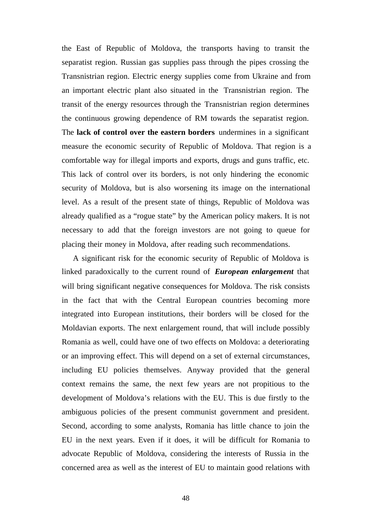the East of Republic of Moldova, the transports having to transit the separatist region. Russian gas supplies pass through the pipes crossing the Transnistrian region. Electric energy supplies come from Ukraine and from an important electric plant also situated in the Transnistrian region. The transit of the energy resources through the Transnistrian region determines the continuous growing dependence of RM towards the separatist region. The **lack of control over the eastern borders** undermines in a significant measure the economic security of Republic of Moldova. That region is a comfortable way for illegal imports and exports, drugs and guns traffic, etc. This lack of control over its borders, is not only hindering the economic security of Moldova, but is also worsening its image on the international level. As a result of the present state of things, Republic of Moldova was already qualified as a "rogue state" by the American policy makers. It is not necessary to add that the foreign investors are not going to queue for placing their money in Moldova, after reading such recommendations.

A significant risk for the economic security of Republic of Moldova is linked paradoxically to the current round of *European enlargement* that will bring significant negative consequences for Moldova. The risk consists in the fact that with the Central European countries becoming more integrated into European institutions, their borders will be closed for the Moldavian exports. The next enlargement round, that will include possibly Romania as well, could have one of two effects on Moldova: a deteriorating or an improving effect. This will depend on a set of external circumstances, including EU policies themselves. Anyway provided that the general context remains the same, the next few years are not propitious to the development of Moldova's relations with the EU. This is due firstly to the ambiguous policies of the present communist government and president. Second, according to some analysts, Romania has little chance to join the EU in the next years. Even if it does, it will be difficult for Romania to advocate Republic of Moldova, considering the interests of Russia in the concerned area as well as the interest of EU to maintain good relations with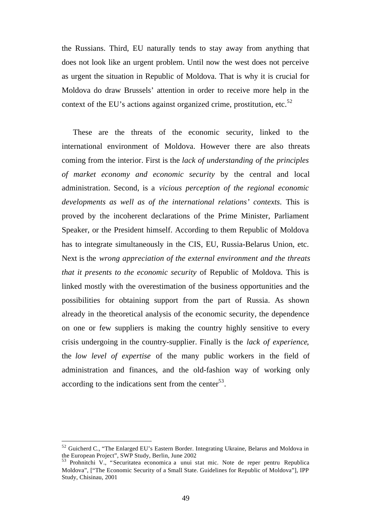the Russians. Third, EU naturally tends to stay away from anything that does not look like an urgent problem. Until now the west does not perceive as urgent the situation in Republic of Moldova. That is why it is crucial for Moldova do draw Brussels' attention in order to receive more help in the context of the EU's actions against organized crime, prostitution, etc. $52$ 

These are the threats of the economic security, linked to the international environment of Moldova. However there are also threats coming from the interior. First is the *lack of understanding of the principles of market economy and economic security* by the central and local administration. Second, is a *vicious perception of the regional economic developments as well as of the international relations' contexts*. This is proved by the incoherent declarations of the Prime Minister, Parliament Speaker, or the President himself. According to them Republic of Moldova has to integrate simultaneously in the CIS, EU, Russia-Belarus Union, etc. Next is the *wrong appreciation of the external environment and the threats that it presents to the economic security* of Republic of Moldova. This is linked mostly with the overestimation of the business opportunities and the possibilities for obtaining support from the part of Russia. As shown already in the theoretical analysis of the economic security, the dependence on one or few suppliers is making the country highly sensitive to every crisis undergoing in the country-supplier. Finally is the *lack of experience*, the *low level of expertise* of the many public workers in the field of administration and finances, and the old-fashion way of working only according to the indications sent from the center $^{53}$ .

<sup>&</sup>lt;sup>52</sup> Guicherd C., "The Enlarged EU's Eastern Border. Integrating Ukraine, Belarus and Moldova in the European Project", SWP Study, Berlin, June 2002

<sup>53</sup> Prohnitchi V., "Securitatea economica a unui stat mic. Note de reper pentru Republica Moldova", ["The Economic Security of a Small State. Guidelines for Republic of Moldova"], IPP Study, Chisinau, 2001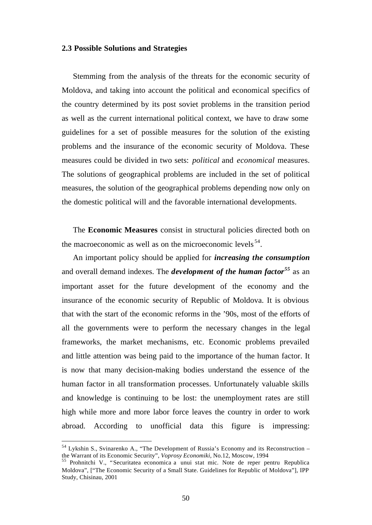#### **2.3 Possible Solutions and Strategies**

Stemming from the analysis of the threats for the economic security of Moldova, and taking into account the political and economical specifics of the country determined by its post soviet problems in the transition period as well as the current international political context, we have to draw some guidelines for a set of possible measures for the solution of the existing problems and the insurance of the economic security of Moldova. These measures could be divided in two sets: *political* and *economical* measures. The solutions of geographical problems are included in the set of political measures, the solution of the geographical problems depending now only on the domestic political will and the favorable international developments.

The **Economic Measures** consist in structural policies directed both on the macroeconomic as well as on the microeconomic levels  $54$ .

An important policy should be applied for *increasing the consumption* and overall demand indexes. The *development of the human factor<sup>55</sup>* as an important asset for the future development of the economy and the insurance of the economic security of Republic of Moldova. It is obvious that with the start of the economic reforms in the '90s, most of the efforts of all the governments were to perform the necessary changes in the legal frameworks, the market mechanisms, etc. Economic problems prevailed and little attention was being paid to the importance of the human factor. It is now that many decision-making bodies understand the essence of the human factor in all transformation processes. Unfortunately valuable skills and knowledge is continuing to be lost: the unemployment rates are still high while more and more labor force leaves the country in order to work abroad. According to unofficial data this figure is impressing:

<sup>&</sup>lt;sup>54</sup> Lykshin S., Svinarenko A., "The Development of Russia's Economy and its Reconstruction – the Warrant of its Economic Security", *Voprosy Economiki*, No.12, Moscow, 1994

<sup>55</sup> Prohnitchi V., "Securitatea economica a unui stat mic. Note de reper pentru Republica Moldova", ["The Economic Security of a Small State. Guidelines for Republic of Moldova"], IPP Study, Chisinau, 2001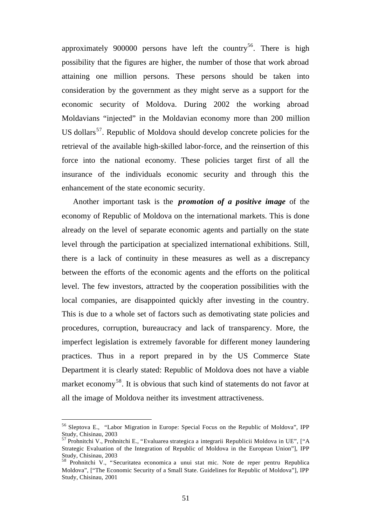approximately 900000 persons have left the country<sup>56</sup>. There is high possibility that the figures are higher, the number of those that work abroad attaining one million persons. These persons should be taken into consideration by the government as they might serve as a support for the economic security of Moldova. During 2002 the working abroad Moldavians "injected" in the Moldavian economy more than 200 million US dollars<sup>57</sup>. Republic of Moldova should develop concrete policies for the retrieval of the available high-skilled labor-force, and the reinsertion of this force into the national economy. These policies target first of all the insurance of the individuals economic security and through this the enhancement of the state economic security.

Another important task is the *promotion of a positive image* of the economy of Republic of Moldova on the international markets. This is done already on the level of separate economic agents and partially on the state level through the participation at specialized international exhibitions. Still, there is a lack of continuity in these measures as well as a discrepancy between the efforts of the economic agents and the efforts on the political level. The few investors, attracted by the cooperation possibilities with the local companies, are disappointed quickly after investing in the country. This is due to a whole set of factors such as demotivating state policies and procedures, corruption, bureaucracy and lack of transparency. More, the imperfect legislation is extremely favorable for different money laundering practices. Thus in a report prepared in by the US Commerce State Department it is clearly stated: Republic of Moldova does not have a viable market economy<sup>58</sup>. It is obvious that such kind of statements do not favor at all the image of Moldova neither its investment attractiveness.

<sup>56</sup> Sleptova E., "Labor Migration in Europe: Special Focus on the Republic of Moldova", IPP Study, Chisinau, 2003

<sup>57</sup> Prohnitchi V., Prohnitchi E., "Evaluarea strategica a integrarii Republicii Moldova in UE", ["A Strategic Evaluation of the Integration of Republic of Moldova in the European Union"], IPP Study, Chisinau, 2003

<sup>&</sup>lt;sup>58</sup> Prohnitchi V., "Securitatea economica a unui stat mic. Note de reper pentru Republica Moldova", ["The Economic Security of a Small State. Guidelines for Republic of Moldova"], IPP Study, Chisinau, 2001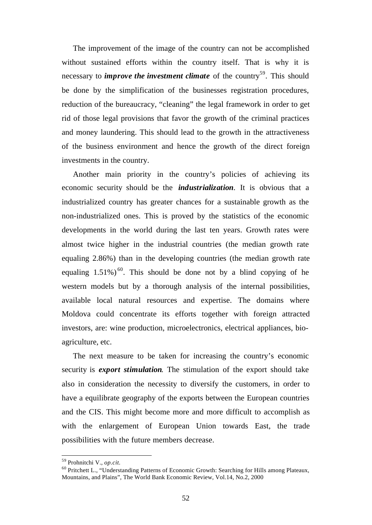The improvement of the image of the country can not be accomplished without sustained efforts within the country itself. That is why it is necessary to *improve the investment climate* of the country<sup>59</sup>. This should be done by the simplification of the businesses registration procedures, reduction of the bureaucracy, "cleaning" the legal framework in order to get rid of those legal provisions that favor the growth of the criminal practices and money laundering. This should lead to the growth in the attractiveness of the business environment and hence the growth of the direct foreign investments in the country.

Another main priority in the country's policies of achieving its economic security should be the *industrialization*. It is obvious that a industrialized country has greater chances for a sustainable growth as the non-industrialized ones. This is proved by the statistics of the economic developments in the world during the last ten years. Growth rates were almost twice higher in the industrial countries (the median growth rate equaling 2.86%) than in the developing countries (the median growth rate equaling  $1.51\%$ )<sup>60</sup>. This should be done not by a blind copying of he western models but by a thorough analysis of the internal possibilities, available local natural resources and expertise. The domains where Moldova could concentrate its efforts together with foreign attracted investors, are: wine production, microelectronics, electrical appliances, bioagriculture, etc.

The next measure to be taken for increasing the country's economic security is *export stimulation*. The stimulation of the export should take also in consideration the necessity to diversify the customers, in order to have a equilibrate geography of the exports between the European countries and the CIS. This might become more and more difficult to accomplish as with the enlargement of European Union towards East, the trade possibilities with the future members decrease.

<sup>59</sup> Prohnitchi V., *op.cit.*

<sup>60</sup> Pritchett L., "Understanding Patterns of Economic Growth: Searching for Hills among Plateaux, Mountains, and Plains", The World Bank Economic Review, Vol.14, No.2, 2000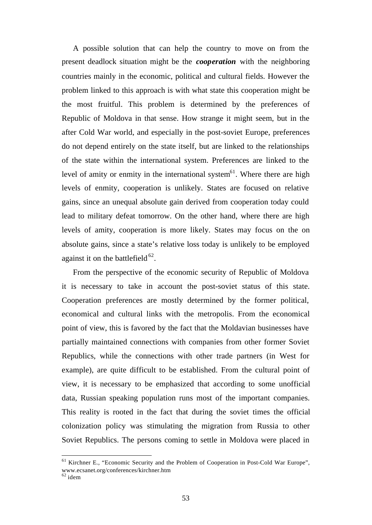A possible solution that can help the country to move on from the present deadlock situation might be the *cooperation* with the neighboring countries mainly in the economic, political and cultural fields. However the problem linked to this approach is with what state this cooperation might be the most fruitful. This problem is determined by the preferences of Republic of Moldova in that sense. How strange it might seem, but in the after Cold War world, and especially in the post-soviet Europe, preferences do not depend entirely on the state itself, but are linked to the relationships of the state within the international system. Preferences are linked to the level of amity or enmity in the international system<sup>61</sup>. Where there are high levels of enmity, cooperation is unlikely. States are focused on relative gains, since an unequal absolute gain derived from cooperation today could lead to military defeat tomorrow. On the other hand, where there are high levels of amity, cooperation is more likely. States may focus on the on absolute gains, since a state's relative loss today is unlikely to be employed against it on the battlefield  $62$ .

From the perspective of the economic security of Republic of Moldova it is necessary to take in account the post-soviet status of this state. Cooperation preferences are mostly determined by the former political, economical and cultural links with the metropolis. From the economical point of view, this is favored by the fact that the Moldavian businesses have partially maintained connections with companies from other former Soviet Republics, while the connections with other trade partners (in West for example), are quite difficult to be established. From the cultural point of view, it is necessary to be emphasized that according to some unofficial data, Russian speaking population runs most of the important companies. This reality is rooted in the fact that during the soviet times the official colonization policy was stimulating the migration from Russia to other Soviet Republics. The persons coming to settle in Moldova were placed in

<sup>&</sup>lt;sup>61</sup> Kirchner E., "Economic Security and the Problem of Cooperation in Post-Cold War Europe", www.ecsanet.org/conferences/kirchner.htm

 $62$  idem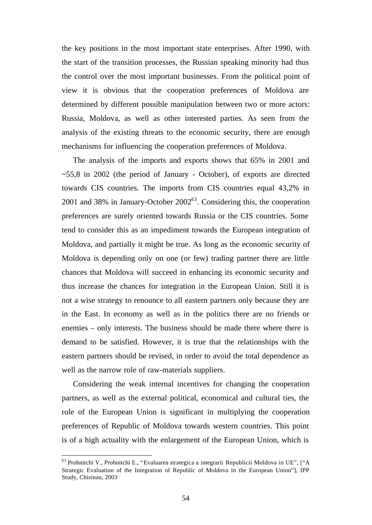the key positions in the most important state enterprises. After 1990, with the start of the transition processes, the Russian speaking minority had thus the control over the most important businesses. From the political point of view it is obvious that the cooperation preferences of Moldova are determined by different possible manipulation between two or more actors: Russia, Moldova, as well as other interested parties. As seen from the analysis of the existing threats to the economic security, there are enough mechanisms for influencing the cooperation preferences of Moldova.

The analysis of the imports and exports shows that 65% in 2001 and  $\sim$  55,8 in 2002 (the period of January - October), of exports are directed towards CIS countries. The imports from CIS countries equal 43,2% in 2001 and 38% in January-October  $2002^{63}$ . Considering this, the cooperation preferences are surely oriented towards Russia or the CIS countries. Some tend to consider this as an impediment towards the European integration of Moldova, and partially it might be true. As long as the economic security of Moldova is depending only on one (or few) trading partner there are little chances that Moldova will succeed in enhancing its economic security and thus increase the chances for integration in the European Union. Still it is not a wise strategy to renounce to all eastern partners only because they are in the East. In economy as well as in the politics there are no friends or enemies – only interests. The business should be made there where there is demand to be satisfied. However, it is true that the relationships with the eastern partners should be revised, in order to avoid the total dependence as well as the narrow role of raw-materials suppliers.

Considering the weak internal incentives for changing the cooperation partners, as well as the external political, economical and cultural ties, the role of the European Union is significant in multiplying the cooperation preferences of Republic of Moldova towards western countries. This point is of a high actuality with the enlargement of the European Union, which is

<sup>63</sup> Prohnitchi V., Prohnitchi E., "Evaluarea strategica a integrarii Republicii Moldova in UE", ["A Strategic Evaluation of the Integration of Republic of Moldova in the European Union"], IPP Study, Chisinau, 2003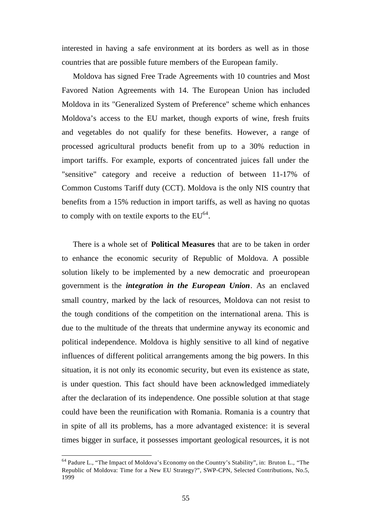interested in having a safe environment at its borders as well as in those countries that are possible future members of the European family.

Moldova has signed Free Trade Agreements with 10 countries and Most Favored Nation Agreements with 14. The European Union has included Moldova in its "Generalized System of Preference" scheme which enhances Moldova's access to the EU market, though exports of wine, fresh fruits and vegetables do not qualify for these benefits. However, a range of processed agricultural products benefit from up to a 30% reduction in import tariffs. For example, exports of concentrated juices fall under the "sensitive" category and receive a reduction of between 11-17% of Common Customs Tariff duty (CCT). Moldova is the only NIS country that benefits from a 15% reduction in import tariffs, as well as having no quotas to comply with on textile exports to the  $EU^{64}$ .

There is a whole set of **Political Measures** that are to be taken in order to enhance the economic security of Republic of Moldova. A possible solution likely to be implemented by a new democratic and proeuropean government is the *integration in the European Union*. As an enclaved small country, marked by the lack of resources, Moldova can not resist to the tough conditions of the competition on the international arena. This is due to the multitude of the threats that undermine anyway its economic and political independence. Moldova is highly sensitive to all kind of negative influences of different political arrangements among the big powers. In this situation, it is not only its economic security, but even its existence as state, is under question. This fact should have been acknowledged immediately after the declaration of its independence. One possible solution at that stage could have been the reunification with Romania. Romania is a country that in spite of all its problems, has a more advantaged existence: it is several times bigger in surface, it possesses important geological resources, it is not

<sup>64</sup> Padure L., "The Impact of Moldova's Economy on the Country's Stability", in: Bruton L., "The Republic of Moldova: Time for a New EU Strategy?", SWP-CPN, Selected Contributions, No.5, 1999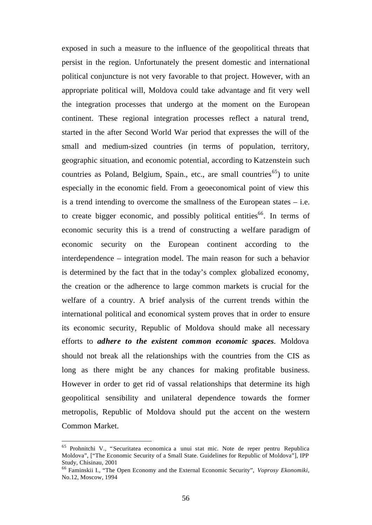exposed in such a measure to the influence of the geopolitical threats that persist in the region. Unfortunately the present domestic and international political conjuncture is not very favorable to that project. However, with an appropriate political will, Moldova could take advantage and fit very well the integration processes that undergo at the moment on the European continent. These regional integration processes reflect a natural trend, started in the after Second World War period that expresses the will of the small and medium-sized countries (in terms of population, territory, geographic situation, and economic potential, according to Katzenstein such countries as Poland, Belgium, Spain., etc., are small countries<sup>65</sup>) to unite especially in the economic field. From a geoeconomical point of view this is a trend intending to overcome the smallness of the European states – i.e. to create bigger economic, and possibly political entities  $66$ . In terms of economic security this is a trend of constructing a welfare paradigm of economic security on the European continent according to the interdependence – integration model. The main reason for such a behavior is determined by the fact that in the today's complex globalized economy, the creation or the adherence to large common markets is crucial for the welfare of a country. A brief analysis of the current trends within the international political and economical system proves that in order to ensure its economic security, Republic of Moldova should make all necessary efforts to *adhere to the existent common economic spaces*. Moldova should not break all the relationships with the countries from the CIS as long as there might be any chances for making profitable business. However in order to get rid of vassal relationships that determine its high geopolitical sensibility and unilateral dependence towards the former metropolis, Republic of Moldova should put the accent on the western Common Market.

<sup>65</sup> Prohnitchi V., "Securitatea economica a unui stat mic. Note de reper pentru Republica Moldova", ["The Economic Security of a Small State. Guidelines for Republic of Moldova"], IPP Study, Chisinau, 2001

<sup>66</sup> Faminskii I., "The Open Economy and the External Economic Security", *Voprosy Ekonomiki*, No.12, Moscow, 1994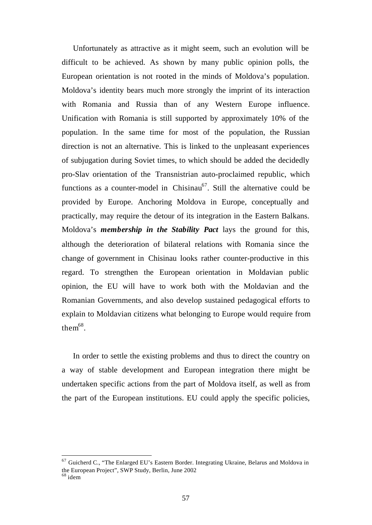Unfortunately as attractive as it might seem, such an evolution will be difficult to be achieved. As shown by many public opinion polls, the European orientation is not rooted in the minds of Moldova's population. Moldova's identity bears much more strongly the imprint of its interaction with Romania and Russia than of any Western Europe influence. Unification with Romania is still supported by approximately 10% of the population. In the same time for most of the population, the Russian direction is not an alternative. This is linked to the unpleasant experiences of subjugation during Soviet times, to which should be added the decidedly pro-Slav orientation of the Transnistrian auto-proclaimed republic, which functions as a counter-model in Chisinau<sup>67</sup>. Still the alternative could be provided by Europe. Anchoring Moldova in Europe, conceptually and practically, may require the detour of its integration in the Eastern Balkans. Moldova's *membership in the Stability Pact* lays the ground for this, although the deterioration of bilateral relations with Romania since the change of government in Chisinau looks rather counter-productive in this regard. To strengthen the European orientation in Moldavian public opinion, the EU will have to work both with the Moldavian and the Romanian Governments, and also develop sustained pedagogical efforts to explain to Moldavian citizens what belonging to Europe would require from the $m^{68}$ .

In order to settle the existing problems and thus to direct the country on a way of stable development and European integration there might be undertaken specific actions from the part of Moldova itself, as well as from the part of the European institutions. EU could apply the specific policies,

 $67$  Guicherd C., "The Enlarged EU's Eastern Border. Integrating Ukraine, Belarus and Moldova in the European Project", SWP Study, Berlin, June 2002  $68$  idem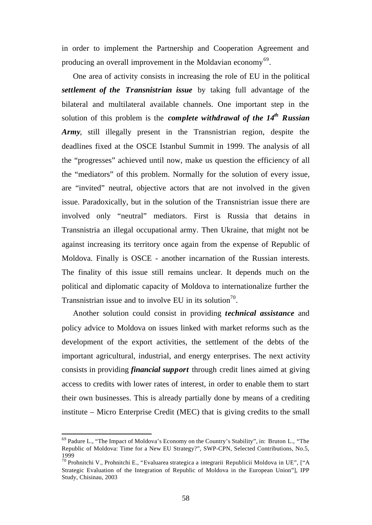in order to implement the Partnership and Cooperation Agreement and producing an overall improvement in the Moldavian economy<sup>69</sup>.

One area of activity consists in increasing the role of EU in the political *settlement of the Transnistrian issue* by taking full advantage of the bilateral and multilateral available channels. One important step in the solution of this problem is the *complete withdrawal of the 14th Russian Army*, still illegally present in the Transnistrian region, despite the deadlines fixed at the OSCE Istanbul Summit in 1999. The analysis of all the "progresses" achieved until now, make us question the efficiency of all the "mediators" of this problem. Normally for the solution of every issue, are "invited" neutral, objective actors that are not involved in the given issue. Paradoxically, but in the solution of the Transnistrian issue there are involved only "neutral" mediators. First is Russia that detains in Transnistria an illegal occupational army. Then Ukraine, that might not be against increasing its territory once again from the expense of Republic of Moldova. Finally is OSCE - another incarnation of the Russian interests. The finality of this issue still remains unclear. It depends much on the political and diplomatic capacity of Moldova to internationalize further the Transnistrian issue and to involve EU in its solution<sup>70</sup>.

Another solution could consist in providing *technical assistance* and policy advice to Moldova on issues linked with market reforms such as the development of the export activities, the settlement of the debts of the important agricultural, industrial, and energy enterprises. The next activity consists in providing *financial support* through credit lines aimed at giving access to credits with lower rates of interest, in order to enable them to start their own businesses. This is already partially done by means of a crediting institute – Micro Enterprise Credit (MEC) that is giving credits to the small

<sup>69</sup> Padure L., "The Impact of Moldova's Economy on the Country's Stability", in: Bruton L., "The Republic of Moldova: Time for a New EU Strategy?", SWP-CPN, Selected Contributions, No.5, 1999

<sup>70</sup> Prohnitchi V., Prohnitchi E., "Evaluarea strategica a integrarii Republicii Moldova in UE", ["A Strategic Evaluation of the Integration of Republic of Moldova in the European Union"], IPP Study, Chisinau, 2003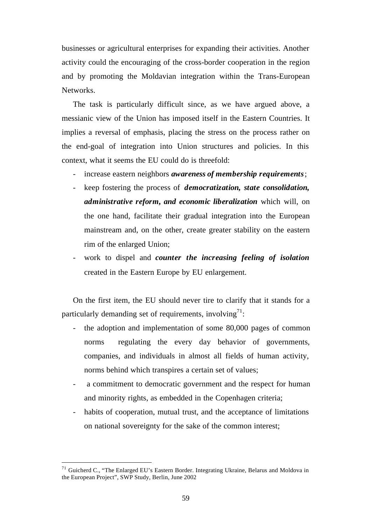businesses or agricultural enterprises for expanding their activities. Another activity could the encouraging of the cross-border cooperation in the region and by promoting the Moldavian integration within the Trans-European Networks.

The task is particularly difficult since, as we have argued above, a messianic view of the Union has imposed itself in the Eastern Countries. It implies a reversal of emphasis, placing the stress on the process rather on the end-goal of integration into Union structures and policies. In this context, what it seems the EU could do is threefold:

- increase eastern neighbors *awareness of membership requirements*;
- keep fostering the process of *democratization, state consolidation, administrative reform, and economic liberalization* which will, on the one hand, facilitate their gradual integration into the European mainstream and, on the other, create greater stability on the eastern rim of the enlarged Union;
- work to dispel and *counter the increasing feeling of isolation* created in the Eastern Europe by EU enlargement.

On the first item, the EU should never tire to clarify that it stands for a particularly demanding set of requirements, involving<sup>71</sup>:

- the adoption and implementation of some 80,000 pages of common norms regulating the every day behavior of governments, companies, and individuals in almost all fields of human activity, norms behind which transpires a certain set of values;
- a commitment to democratic government and the respect for human and minority rights, as embedded in the Copenhagen criteria;
- habits of cooperation, mutual trust, and the acceptance of limitations on national sovereignty for the sake of the common interest;

<sup>&</sup>lt;sup>71</sup> Guicherd C., "The Enlarged EU's Eastern Border. Integrating Ukraine, Belarus and Moldova in the European Project", SWP Study, Berlin, June 2002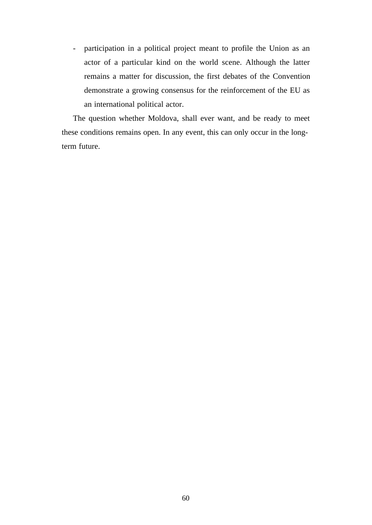- participation in a political project meant to profile the Union as an actor of a particular kind on the world scene. Although the latter remains a matter for discussion, the first debates of the Convention demonstrate a growing consensus for the reinforcement of the EU as an international political actor.

The question whether Moldova, shall ever want, and be ready to meet these conditions remains open. In any event, this can only occur in the longterm future.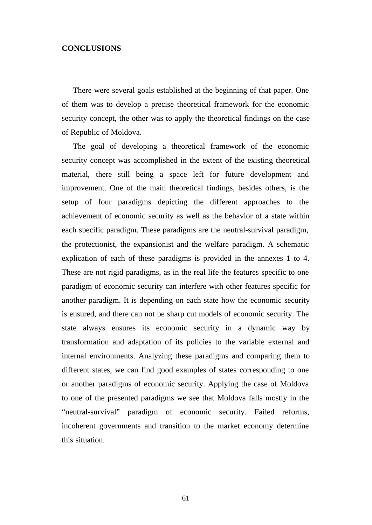## **CONCLUSIONS**

There were several goals established at the beginning of that paper. One of them was to develop a precise theoretical framework for the economic security concept, the other was to apply the theoretical findings on the case of Republic of Moldova.

The goal of developing a theoretical framework of the economic security concept was accomplished in the extent of the existing theoretical material, there still being a space left for future development and improvement. One of the main theoretical findings, besides others, is the setup of four paradigms depicting the different approaches to the achievement of economic security as well as the behavior of a state within each specific paradigm. These paradigms are the neutral-survival paradigm, the protectionist, the expansionist and the welfare paradigm. A schematic explication of each of these paradigms is provided in the annexes 1 to 4. These are not rigid paradigms, as in the real life the features specific to one paradigm of economic security can interfere with other features specific for another paradigm. It is depending on each state how the economic security is ensured, and there can not be sharp cut models of economic security. The state always ensures its economic security in a dynamic way by transformation and adaptation of its policies to the variable external and internal environments. Analyzing these paradigms and comparing them to different states, we can find good examples of states corresponding to one or another paradigms of economic security. Applying the case of Moldova to one of the presented paradigms we see that Moldova falls mostly in the "neutral-survival" paradigm of economic security. Failed reforms, incoherent governments and transition to the market economy determine this situation.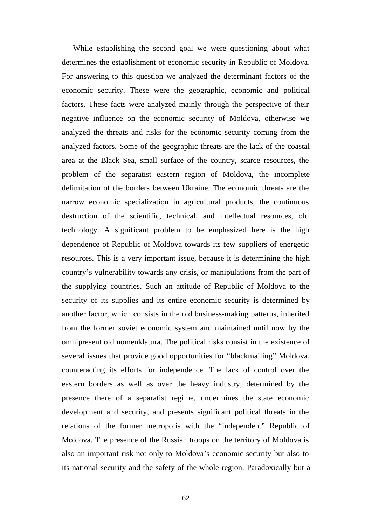While establishing the second goal we were questioning about what determines the establishment of economic security in Republic of Moldova. For answering to this question we analyzed the determinant factors of the economic security. These were the geographic, economic and political factors. These facts were analyzed mainly through the perspective of their negative influence on the economic security of Moldova, otherwise we analyzed the threats and risks for the economic security coming from the analyzed factors. Some of the geographic threats are the lack of the coastal area at the Black Sea, small surface of the country, scarce resources, the problem of the separatist eastern region of Moldova, the incomplete delimitation of the borders between Ukraine. The economic threats are the narrow economic specialization in agricultural products, the continuous destruction of the scientific, technical, and intellectual resources, old technology. A significant problem to be emphasized here is the high dependence of Republic of Moldova towards its few suppliers of energetic resources. This is a very important issue, because it is determining the high country's vulnerability towards any crisis, or manipulations from the part of the supplying countries. Such an attitude of Republic of Moldova to the security of its supplies and its entire economic security is determined by another factor, which consists in the old business-making patterns, inherited from the former soviet economic system and maintained until now by the omnipresent old nomenklatura. The political risks consist in the existence of several issues that provide good opportunities for "blackmailing" Moldova, counteracting its efforts for independence. The lack of control over the eastern borders as well as over the heavy industry, determined by the presence there of a separatist regime, undermines the state economic development and security, and presents significant political threats in the relations of the former metropolis with the "independent" Republic of Moldova. The presence of the Russian troops on the territory of Moldova is also an important risk not only to Moldova's economic security but also to its national security and the safety of the whole region. Paradoxically but a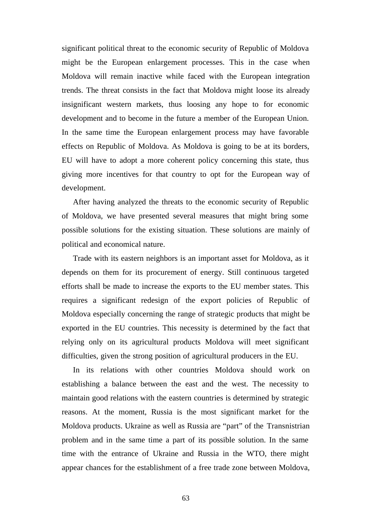significant political threat to the economic security of Republic of Moldova might be the European enlargement processes. This in the case when Moldova will remain inactive while faced with the European integration trends. The threat consists in the fact that Moldova might loose its already insignificant western markets, thus loosing any hope to for economic development and to become in the future a member of the European Union. In the same time the European enlargement process may have favorable effects on Republic of Moldova. As Moldova is going to be at its borders, EU will have to adopt a more coherent policy concerning this state, thus giving more incentives for that country to opt for the European way of development.

After having analyzed the threats to the economic security of Republic of Moldova, we have presented several measures that might bring some possible solutions for the existing situation. These solutions are mainly of political and economical nature.

Trade with its eastern neighbors is an important asset for Moldova, as it depends on them for its procurement of energy. Still continuous targeted efforts shall be made to increase the exports to the EU member states. This requires a significant redesign of the export policies of Republic of Moldova especially concerning the range of strategic products that might be exported in the EU countries. This necessity is determined by the fact that relying only on its agricultural products Moldova will meet significant difficulties, given the strong position of agricultural producers in the EU.

In its relations with other countries Moldova should work on establishing a balance between the east and the west. The necessity to maintain good relations with the eastern countries is determined by strategic reasons. At the moment, Russia is the most significant market for the Moldova products. Ukraine as well as Russia are "part" of the Transnistrian problem and in the same time a part of its possible solution. In the same time with the entrance of Ukraine and Russia in the WTO, there might appear chances for the establishment of a free trade zone between Moldova,

63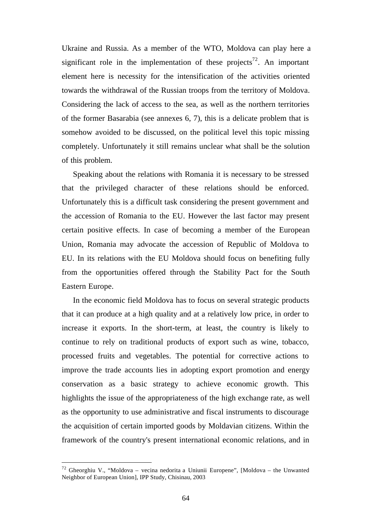Ukraine and Russia. As a member of the WTO, Moldova can play here a significant role in the implementation of these projects<sup>72</sup>. An important element here is necessity for the intensification of the activities oriented towards the withdrawal of the Russian troops from the territory of Moldova. Considering the lack of access to the sea, as well as the northern territories of the former Basarabia (see annexes 6, 7), this is a delicate problem that is somehow avoided to be discussed, on the political level this topic missing completely. Unfortunately it still remains unclear what shall be the solution of this problem.

Speaking about the relations with Romania it is necessary to be stressed that the privileged character of these relations should be enforced. Unfortunately this is a difficult task considering the present government and the accession of Romania to the EU. However the last factor may present certain positive effects. In case of becoming a member of the European Union, Romania may advocate the accession of Republic of Moldova to EU. In its relations with the EU Moldova should focus on benefiting fully from the opportunities offered through the Stability Pact for the South Eastern Europe.

In the economic field Moldova has to focus on several strategic products that it can produce at a high quality and at a relatively low price, in order to increase it exports. In the short-term, at least, the country is likely to continue to rely on traditional products of export such as wine, tobacco, processed fruits and vegetables. The potential for corrective actions to improve the trade accounts lies in adopting export promotion and energy conservation as a basic strategy to achieve economic growth. This highlights the issue of the appropriateness of the high exchange rate, as well as the opportunity to use administrative and fiscal instruments to discourage the acquisition of certain imported goods by Moldavian citizens. Within the framework of the country's present international economic relations, and in

<sup>&</sup>lt;sup>72</sup> Gheorghiu V., "Moldova – vecina nedorita a Uniunii Europene", [Moldova – the Unwanted Neighbor of European Union], IPP Study, Chisinau, 2003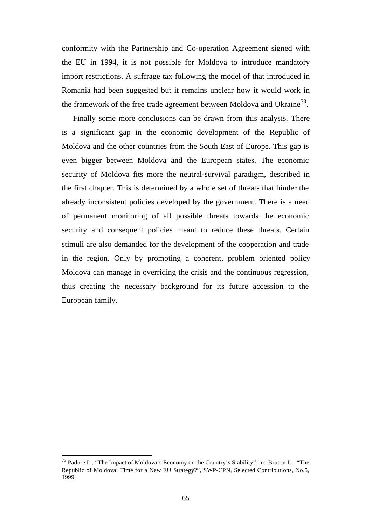conformity with the Partnership and Co-operation Agreement signed with the EU in 1994, it is not possible for Moldova to introduce mandatory import restrictions. A suffrage tax following the model of that introduced in Romania had been suggested but it remains unclear how it would work in the framework of the free trade agreement between Moldova and Ukraine<sup>73</sup>.

Finally some more conclusions can be drawn from this analysis. There is a significant gap in the economic development of the Republic of Moldova and the other countries from the South East of Europe. This gap is even bigger between Moldova and the European states. The economic security of Moldova fits more the neutral-survival paradigm, described in the first chapter. This is determined by a whole set of threats that hinder the already inconsistent policies developed by the government. There is a need of permanent monitoring of all possible threats towards the economic security and consequent policies meant to reduce these threats. Certain stimuli are also demanded for the development of the cooperation and trade in the region. Only by promoting a coherent, problem oriented policy Moldova can manage in overriding the crisis and the continuous regression, thus creating the necessary background for its future accession to the European family.

<sup>&</sup>lt;sup>73</sup> Padure L., "The Impact of Moldova's Economy on the Country's Stability", in: Bruton L., "The Republic of Moldova: Time for a New EU Strategy?", SWP-CPN, Selected Contributions, No.5, 1999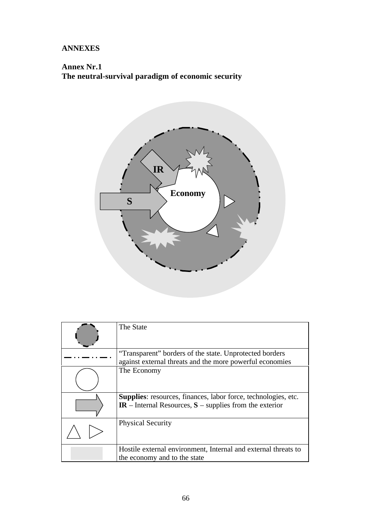## **ANNEXES**

# **Annex Nr.1 The neutral-survival paradigm of economic security**



| The State                                                                                                                            |
|--------------------------------------------------------------------------------------------------------------------------------------|
| "Transparent" borders of the state. Unprotected borders<br>against external threats and the more powerful economies                  |
| The Economy                                                                                                                          |
| <b>Supplies:</b> resources, finances, labor force, technologies, etc.<br>$IR$ – Internal Resources, $S$ – supplies from the exterior |
| <b>Physical Security</b>                                                                                                             |
| Hostile external environment, Internal and external threats to<br>the economy and to the state                                       |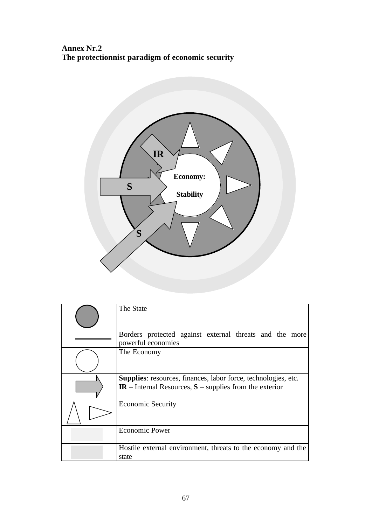**Annex Nr.2 The protectionnist paradigm of economic security**



| The State                                                                                                                            |  |  |  |  |  |
|--------------------------------------------------------------------------------------------------------------------------------------|--|--|--|--|--|
| Borders protected against external threats and the more<br>powerful economies                                                        |  |  |  |  |  |
| The Economy                                                                                                                          |  |  |  |  |  |
| <b>Supplies:</b> resources, finances, labor force, technologies, etc.<br>$IR$ – Internal Resources, $S$ – supplies from the exterior |  |  |  |  |  |
| <b>Economic Security</b>                                                                                                             |  |  |  |  |  |
| <b>Economic Power</b>                                                                                                                |  |  |  |  |  |
| Hostile external environment, threats to the economy and the<br>state                                                                |  |  |  |  |  |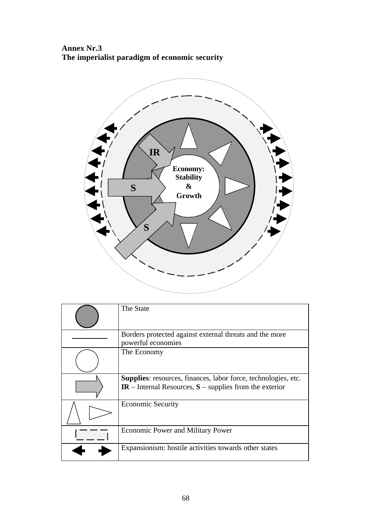**Annex Nr.3 The imperialist paradigm of economic security**



| The State                                                                                                                            |
|--------------------------------------------------------------------------------------------------------------------------------------|
| Borders protected against external threats and the more<br>powerful economies                                                        |
| The Economy                                                                                                                          |
| <b>Supplies:</b> resources, finances, labor force, technologies, etc.<br>$IR$ – Internal Resources, $S$ – supplies from the exterior |
| <b>Economic Security</b>                                                                                                             |
| <b>Economic Power and Military Power</b>                                                                                             |
| Expansionism: hostile activities towards other states                                                                                |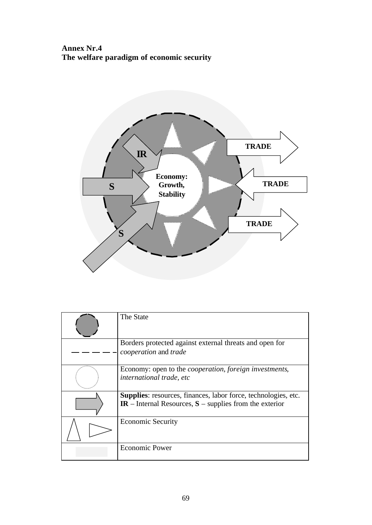**Annex Nr.4 The welfare paradigm of economic security**



| The State                                                                                                                            |
|--------------------------------------------------------------------------------------------------------------------------------------|
| Borders protected against external threats and open for<br>cooperation and trade                                                     |
| Economy: open to the <i>cooperation</i> , <i>foreign investments</i> ,<br>international trade, etc                                   |
| <b>Supplies:</b> resources, finances, labor force, technologies, etc.<br>$IR$ – Internal Resources, $S$ – supplies from the exterior |
| <b>Economic Security</b>                                                                                                             |
| <b>Economic Power</b>                                                                                                                |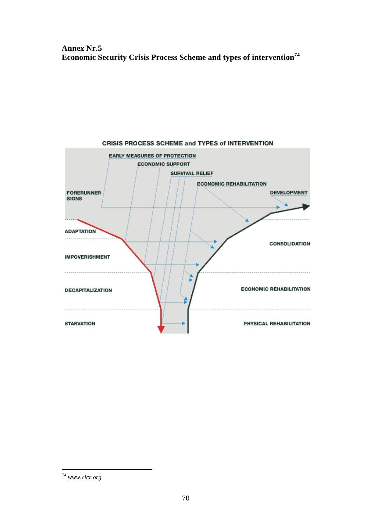# **Annex Nr.5 Economic Security Crisis Process Scheme and types of intervention<sup>74</sup>**



l <sup>74</sup> *www.cicr.org*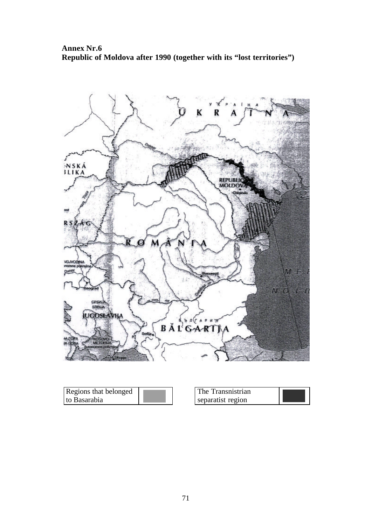**Annex Nr.6 Republic of Moldova after 1990 (together with its "lost territories")**



| Regions that belonged | The Transnistrian |  |
|-----------------------|-------------------|--|
| to Basarabia          | separatist region |  |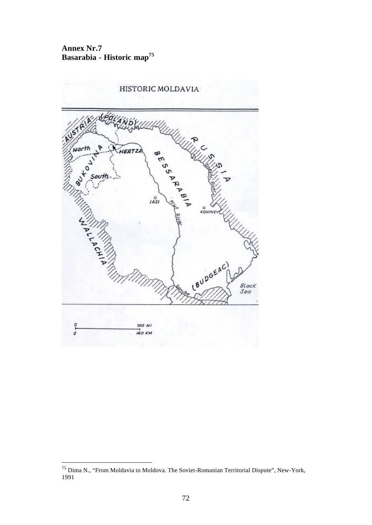**Annex Nr.7 Basarabia - Historic map<sup>75</sup>**



l

<sup>&</sup>lt;sup>75</sup> Dima N., "From Moldavia to Moldova. The Soviet-Romanian Territorial Dispute", New-York, 1991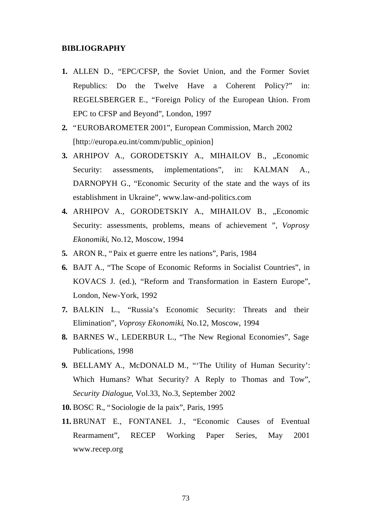## **BIBLIOGRAPHY**

- **1.** ALLEN D., "EPC/CFSP, the Soviet Union, and the Former Soviet Republics: Do the Twelve Have a Coherent Policy?" in: REGELSBERGER E., "Foreign Policy of the European Union. From EPC to CFSP and Beyond", London, 1997
- **2.** "EUROBAROMETER 2001", European Commission, March 2002 [http://europa.eu.int/comm/public\_opinion]
- 3. ARHIPOV A., GORODETSKIY A., MIHAILOV B., "Economic Security: assessments, implementations", in: KALMAN A., DARNOPYH G., "Economic Security of the state and the ways of its establishment in Ukraine", www.law-and-politics.com
- 4. ARHIPOV A., GORODETSKIY A., MIHAILOV B., "Economic Security: assessments, problems, means of achievement ", *Voprosy Ekonomiki*, No.12, Moscow, 1994
- **5.** ARON R., "Paix et guerre entre les nations", Paris, 1984
- **6.** BAJT A., "The Scope of Economic Reforms in Socialist Countries", in KOVACS J. (ed.), "Reform and Transformation in Eastern Europe", London, New-York, 1992
- **7.** BALKIN L., "Russia's Economic Security: Threats and their Elimination", *Voprosy Ekonomiki*, No.12, Moscow, 1994
- **8.** BARNES W., LEDERBUR L., "The New Regional Economies", Sage Publications, 1998
- **9.** BELLAMY A., McDONALD M., "'The Utility of Human Security': Which Humans? What Security? A Reply to Thomas and Tow", *Security Dialogue*, Vol.33, No.3, September 2002
- **10.** BOSC R., "Sociologie de la paix", Paris, 1995
- **11.** BRUNAT E., FONTANEL J., "Economic Causes of Eventual Rearmament", RECEP Working Paper Series, May 2001 www.recep.org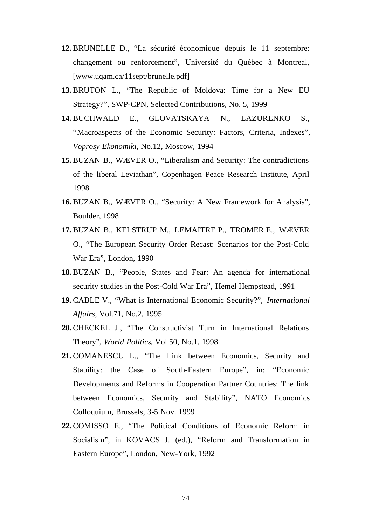- **12.** BRUNELLE D., "La sécurité économique depuis le 11 septembre: changement ou renforcement", Université du Québec à Montreal, [www.uqam.ca/11sept/brunelle.pdf]
- **13.** BRUTON L., "The Republic of Moldova: Time for a New EU Strategy?", SWP-CPN, Selected Contributions, No. 5, 1999
- **14.** BUCHWALD E., GLOVATSKAYA N., LAZURENKO S., "Macroaspects of the Economic Security: Factors, Criteria, Indexes", *Voprosy Ekonomiki*, No.12, Moscow, 1994
- **15.** BUZAN B., WÆVER O., "Liberalism and Security: The contradictions of the liberal Leviathan", Copenhagen Peace Research Institute, April 1998
- **16.** BUZAN B., WÆVER O., "Security: A New Framework for Analysis", Boulder, 1998
- **17.** BUZAN B., KELSTRUP M., LEMAITRE P., TROMER E., WÆVER O., "The European Security Order Recast: Scenarios for the Post-Cold War Era", London, 1990
- **18.** BUZAN B., "People, States and Fear: An agenda for international security studies in the Post-Cold War Era", Hemel Hempstead, 1991
- **19.** CABLE V., "What is International Economic Security?", *International Affairs*, Vol.71, No.2, 1995
- **20.** CHECKEL J., "The Constructivist Turn in International Relations Theory", *World Politics*, Vol.50, No.1, 1998
- **21.** COMANESCU L., "The Link between Economics, Security and Stability: the Case of South-Eastern Europe", in: "Economic Developments and Reforms in Cooperation Partner Countries: The link between Economics, Security and Stability", NATO Economics Colloquium, Brussels, 3-5 Nov. 1999
- **22.** COMISSO E., "The Political Conditions of Economic Reform in Socialism", in KOVACS J. (ed.), "Reform and Transformation in Eastern Europe", London, New-York, 1992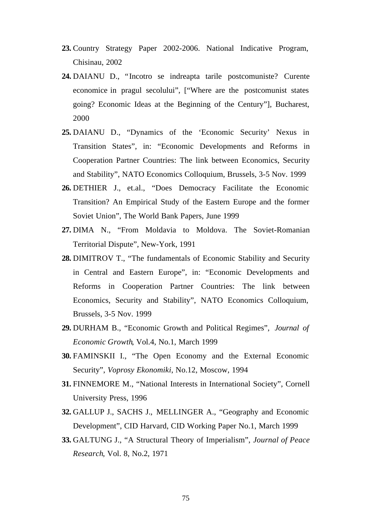- **23.** Country Strategy Paper 2002-2006. National Indicative Program, Chisinau, 2002
- **24.** DAIANU D., "Incotro se indreapta tarile postcomuniste? Curente economice in pragul secolului", ["Where are the postcomunist states going? Economic Ideas at the Beginning of the Century"], Bucharest, 2000
- **25.** DAIANU D., "Dynamics of the 'Economic Security' Nexus in Transition States", in: "Economic Developments and Reforms in Cooperation Partner Countries: The link between Economics, Security and Stability", NATO Economics Colloquium, Brussels, 3-5 Nov. 1999
- **26.** DETHIER J., et.al., "Does Democracy Facilitate the Economic Transition? An Empirical Study of the Eastern Europe and the former Soviet Union", The World Bank Papers, June 1999
- **27.** DIMA N., "From Moldavia to Moldova. The Soviet-Romanian Territorial Dispute", New-York, 1991
- **28.** DIMITROV T., "The fundamentals of Economic Stability and Security in Central and Eastern Europe", in: "Economic Developments and Reforms in Cooperation Partner Countries: The link between Economics, Security and Stability", NATO Economics Colloquium, Brussels, 3-5 Nov. 1999
- **29.** DURHAM B., "Economic Growth and Political Regimes", *Journal of Economic Growth*, Vol.4, No.1, March 1999
- **30.** FAMINSKII I., "The Open Economy and the External Economic Security", *Voprosy Ekonomiki*, No.12, Moscow, 1994
- **31.** FINNEMORE M., "National Interests in International Society", Cornell University Press, 1996
- **32.** GALLUP J., SACHS J., MELLINGER A., "Geography and Economic Development", CID Harvard, CID Working Paper No.1, March 1999
- **33.** GALTUNG J., "A Structural Theory of Imperialism", *Journal of Peace Research*, Vol. 8, No.2, 1971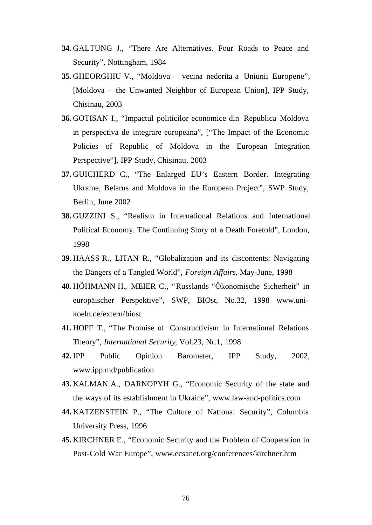- **34.** GALTUNG J., "There Are Alternatives. Four Roads to Peace and Security", Nottingham, 1984
- **35.** GHEORGHIU V., "Moldova vecina nedorita a Uniunii Europene", [Moldova – the Unwanted Neighbor of European Union], IPP Study, Chisinau, 2003
- **36.** GOTISAN I., "Impactul politicilor economice din Republica Moldova in perspectiva de integrare europeana", ["The Impact of the Economic Policies of Republic of Moldova in the European Integration Perspective"], IPP Study, Chisinau, 2003
- **37.** GUICHERD C., "The Enlarged EU's Eastern Border. Integrating Ukraine, Belarus and Moldova in the European Project", SWP Study, Berlin, June 2002
- **38.** GUZZINI S., "Realism in International Relations and International Political Economy. The Continuing Story of a Death Foretold", London, 1998
- **39.** HAASS R., LITAN R., "Globalization and its discontents: Navigating the Dangers of a Tangled World", *Foreign Affairs*, May-June, 1998
- **40.** HÖHMANN H., MEIER C., "Russlands "Ökonomische Sicherheit" in europäischer Perspektive", SWP, BIOst, No.32, 1998 www.unikoeln.de/extern/biost
- **41.** HOPF T., "The Promise of Constructivism in International Relations Theory", *International Security*, Vol.23, Nr.1, 1998
- **42.** IPP Public Opinion Barometer, IPP Study, 2002, www.ipp.md/publication
- **43.** KALMAN A., DARNOPYH G., "Economic Security of the state and the ways of its establishment in Ukraine", www.law-and-politics.com
- **44.** KATZENSTEIN P., "The Culture of National Security", Columbia University Press, 1996
- **45.** KIRCHNER E., "Economic Security and the Problem of Cooperation in Post-Cold War Europe", www.ecsanet.org/conferences/kirchner.htm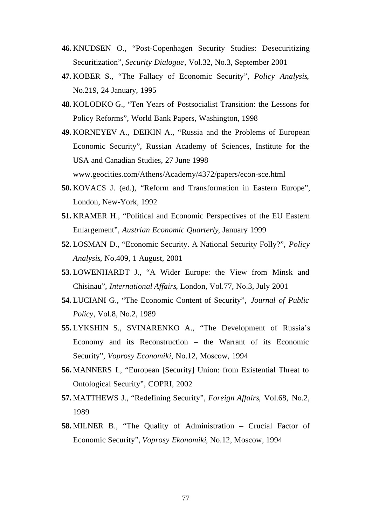- **46.** KNUDSEN O., "Post-Copenhagen Security Studies: Desecuritizing Securitization", *Security Dialogue*, Vol.32, No.3, September 2001
- **47.** KOBER S., "The Fallacy of Economic Security", *Policy Analysis*, No.219, 24 January, 1995
- **48.** KOLODKO G., "Ten Years of Postsocialist Transition: the Lessons for Policy Reforms", World Bank Papers, Washington, 1998
- **49.** KORNEYEV A., DEIKIN A., "Russia and the Problems of European Economic Security", Russian Academy of Sciences, Institute for the USA and Canadian Studies, 27 June 1998 www.geocities.com/Athens/Academy/4372/papers/econ-sce.html
- **50.** KOVACS J. (ed.), "Reform and Transformation in Eastern Europe", London, New-York, 1992
- **51.** KRAMER H., "Political and Economic Perspectives of the EU Eastern Enlargement", *Austrian Economic Quarterly*, January 1999
- **52.** LOSMAN D., "Economic Security. A National Security Folly?", *Policy Analysis*, No.409, 1 August, 2001
- **53.** LOWENHARDT J., "A Wider Europe: the View from Minsk and Chisinau", *International Affairs*, London, Vol.77, No.3, July 2001
- **54.** LUCIANI G., "The Economic Content of Security", *Journal of Public Policy*, Vol.8, No.2, 1989
- **55.** LYKSHIN S., SVINARENKO A., "The Development of Russia's Economy and its Reconstruction – the Warrant of its Economic Security", *Voprosy Economiki*, No.12, Moscow, 1994
- **56.** MANNERS I., "European [Security] Union: from Existential Threat to Ontological Security", COPRI, 2002
- **57.** MATTHEWS J., "Redefining Security", *Foreign Affairs*, Vol.68, No.2, 1989
- **58.** MILNER B., "The Quality of Administration Crucial Factor of Economic Security", *Voprosy Ekonomiki*, No.12, Moscow, 1994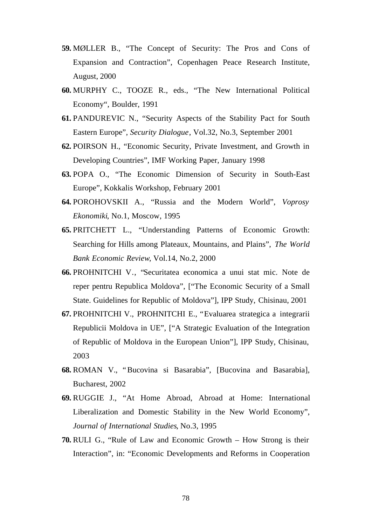- **59.** MØLLER B., "The Concept of Security: The Pros and Cons of Expansion and Contraction", Copenhagen Peace Research Institute, August, 2000
- **60.** MURPHY C., TOOZE R., eds., "The New International Political Economy", Boulder, 1991
- **61.** PANDUREVIC N., "Security Aspects of the Stability Pact for South Eastern Europe", *Security Dialogue*, Vol.32, No.3, September 2001
- **62.** POIRSON H., "Economic Security, Private Investment, and Growth in Developing Countries", IMF Working Paper, January 1998
- **63.** POPA O., "The Economic Dimension of Security in South-East Europe", Kokkalis Workshop, February 2001
- **64.** POROHOVSKII A., "Russia and the Modern World", *Voprosy Ekonomiki*, No.1, Moscow, 1995
- **65.** PRITCHETT L., "Understanding Patterns of Economic Growth: Searching for Hills among Plateaux, Mountains, and Plains", *The World Bank Economic Review*, Vol.14, No.2, 2000
- **66.** PROHNITCHI V., "Securitatea economica a unui stat mic. Note de reper pentru Republica Moldova", ["The Economic Security of a Small State. Guidelines for Republic of Moldova"], IPP Study, Chisinau, 2001
- **67.** PROHNITCHI V., PROHNITCHI E., "Evaluarea strategica a integrarii Republicii Moldova in UE", ["A Strategic Evaluation of the Integration of Republic of Moldova in the European Union"], IPP Study, Chisinau, 2003
- **68.** ROMAN V., "Bucovina si Basarabia", [Bucovina and Basarabia], Bucharest, 2002
- **69.** RUGGIE J., "At Home Abroad, Abroad at Home: International Liberalization and Domestic Stability in the New World Economy", *Journal of International Studies*, No.3, 1995
- **70.** RULI G., "Rule of Law and Economic Growth How Strong is their Interaction", in: "Economic Developments and Reforms in Cooperation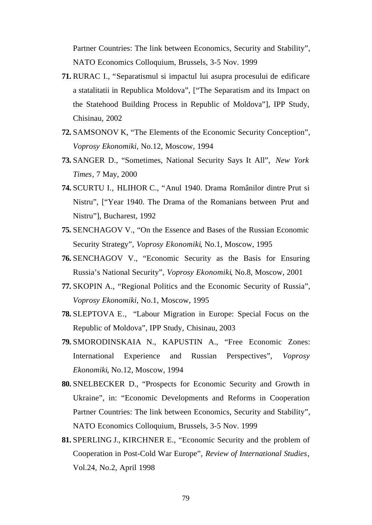Partner Countries: The link between Economics, Security and Stability", NATO Economics Colloquium, Brussels, 3-5 Nov. 1999

- **71.** RURAC I., "Separatismul si impactul lui asupra procesului de edificare a statalitatii in Republica Moldova", ["The Separatism and its Impact on the Statehood Building Process in Republic of Moldova"], IPP Study, Chisinau, 2002
- **72.** SAMSONOV K, "The Elements of the Economic Security Conception", *Voprosy Ekonomiki*, No.12, Moscow, 1994
- **73.** SANGER D., "Sometimes, National Security Says It All", *New York Times*, 7 May, 2000
- **74.** SCURTU I., HLIHOR C., "Anul 1940. Drama Românilor dintre Prut si Nistru", ["Year 1940. The Drama of the Romanians between Prut and Nistru"], Bucharest, 1992
- **75.** SENCHAGOV V., "On the Essence and Bases of the Russian Economic Security Strategy", *Voprosy Ekonomiki*, No.1, Moscow, 1995
- **76.** SENCHAGOV V., "Economic Security as the Basis for Ensuring Russia's National Security", *Voprosy Ekonomiki*, No.8, Moscow, 2001
- **77.** SKOPIN A., "Regional Politics and the Economic Security of Russia", *Voprosy Ekonomiki*, No.1, Moscow, 1995
- **78.** SLEPTOVA E., "Labour Migration in Europe: Special Focus on the Republic of Moldova", IPP Study, Chisinau, 2003
- **79.** SMORODINSKAIA N., KAPUSTIN A., "Free Economic Zones: International Experience and Russian Perspectives", *Voprosy Ekonomiki*, No.12, Moscow, 1994
- **80.** SNELBECKER D., "Prospects for Economic Security and Growth in Ukraine", in: "Economic Developments and Reforms in Cooperation Partner Countries: The link between Economics, Security and Stability", NATO Economics Colloquium, Brussels, 3-5 Nov. 1999
- **81.** SPERLING J., KIRCHNER E., "Economic Security and the problem of Cooperation in Post-Cold War Europe", *Review of International Studies*, Vol.24, No.2, April 1998